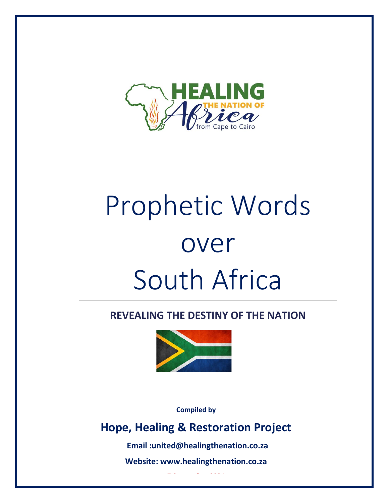

# Prophetic Words over South Africa

### **REVEALING THE DESTINY OF THE NATION**



**Compiled by** 

## **Hope, Healing & Restoration Project**

**Email :united@healingthenation.co.za** 

**Website: www.healingthenation.co.za** 

**7 September 2021**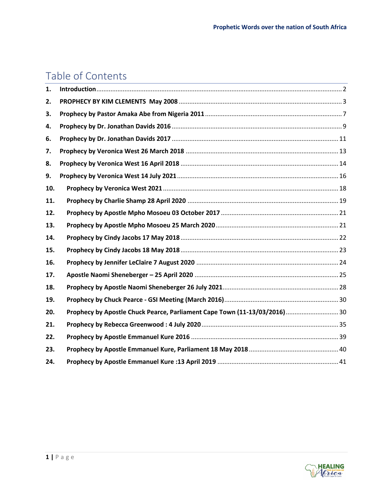## Table of Contents

| 1.  |                                                                           |  |
|-----|---------------------------------------------------------------------------|--|
| 2.  |                                                                           |  |
| 3.  |                                                                           |  |
| 4.  |                                                                           |  |
| 6.  |                                                                           |  |
| 7.  |                                                                           |  |
| 8.  |                                                                           |  |
| 9.  |                                                                           |  |
| 10. |                                                                           |  |
| 11. |                                                                           |  |
| 12. |                                                                           |  |
| 13. |                                                                           |  |
| 14. |                                                                           |  |
| 15. |                                                                           |  |
| 16. |                                                                           |  |
| 17. |                                                                           |  |
| 18. |                                                                           |  |
| 19. |                                                                           |  |
| 20. | Prophecy by Apostle Chuck Pearce, Parliament Cape Town (11-13/03/2016) 30 |  |
| 21. |                                                                           |  |
| 22. |                                                                           |  |
| 23. |                                                                           |  |
| 24. |                                                                           |  |

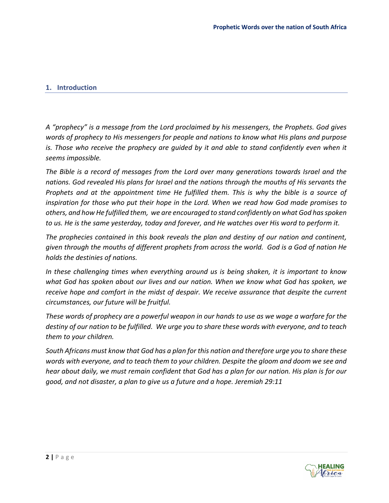#### <span id="page-2-0"></span>**1. Introduction**

*A "prophecy" is a message from the Lord proclaimed by his messengers, the Prophets. God gives words of prophecy to His messengers for people and nations to know what His plans and purpose is. Those who receive the prophecy are guided by it and able to stand confidently even when it seems impossible.* 

*The Bible is a record of messages from the Lord over many generations towards Israel and the nations. God revealed His plans for Israel and the nations through the mouths of His servants the Prophets and at the appointment time He fulfilled them. This is why the bible is a source of inspiration for those who put their hope in the Lord. When we read how God made promises to others, and how He fulfilled them, we are encouraged to stand confidently on what God has spoken to us. He is the same yesterday, today and forever, and He watches over His word to perform it.*

*The prophecies contained in this book reveals the plan and destiny of our nation and continent, given through the mouths of different prophets from across the world. God is a God of nation He holds the destinies of nations.* 

*In these challenging times when everything around us is being shaken, it is important to know what God has spoken about our lives and our nation. When we know what God has spoken, we receive hope and comfort in the midst of despair. We receive assurance that despite the current circumstances, our future will be fruitful.*

*These words of prophecy are a powerful weapon in our hands to use as we wage a warfare for the destiny of our nation to be fulfilled. We urge you to share these words with everyone, and to teach them to your children.* 

*South Africans must know that God has a plan for this nation and therefore urge you to share these words with everyone, and to teach them to your children. Despite the gloom and doom we see and hear about daily, we must remain confident that God has a plan for our nation. His plan is for our good, and not disaster, a plan to give us a future and a hope. Jeremiah 29:11*

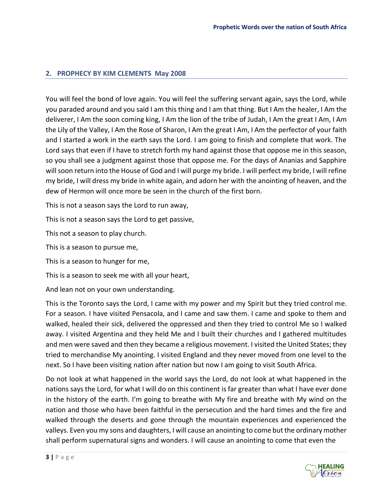#### <span id="page-3-0"></span>**2. PROPHECY BY KIM CLEMENTS May 2008**

You will feel the bond of love again. You will feel the suffering servant again, says the Lord, while you paraded around and you said I am this thing and I am that thing. But I Am the healer, I Am the deliverer, I Am the soon coming king, I Am the lion of the tribe of Judah, I Am the great I Am, I Am the Lily of the Valley, I Am the Rose of Sharon, I Am the great I Am, I Am the perfector of your faith and I started a work in the earth says the Lord. I am going to finish and complete that work. The Lord says that even if I have to stretch forth my hand against those that oppose me in this season, so you shall see a judgment against those that oppose me. For the days of Ananias and Sapphire will soon return into the House of God and I will purge my bride. I will perfect my bride, I will refine my bride, I will dress my bride in white again, and adorn her with the anointing of heaven, and the dew of Hermon will once more be seen in the church of the first born.

This is not a season says the Lord to run away,

This is not a season says the Lord to get passive,

This not a season to play church.

This is a season to pursue me,

This is a season to hunger for me,

This is a season to seek me with all your heart,

And lean not on your own understanding.

This is the Toronto says the Lord, I came with my power and my Spirit but they tried control me. For a season. I have visited Pensacola, and I came and saw them. I came and spoke to them and walked, healed their sick, delivered the oppressed and then they tried to control Me so I walked away. I visited Argentina and they held Me and I built their churches and I gathered multitudes and men were saved and then they became a religious movement. I visited the United States; they tried to merchandise My anointing. I visited England and they never moved from one level to the next. So I have been visiting nation after nation but now I am going to visit South Africa.

Do not look at what happened in the world says the Lord, do not look at what happened in the nations says the Lord, for what I will do on this continent is far greater than what I have ever done in the history of the earth. I'm going to breathe with My fire and breathe with My wind on the nation and those who have been faithful in the persecution and the hard times and the fire and walked through the deserts and gone through the mountain experiences and experienced the valleys. Even you my sons and daughters, I will cause an anointing to come but the ordinary mother shall perform supernatural signs and wonders. I will cause an anointing to come that even the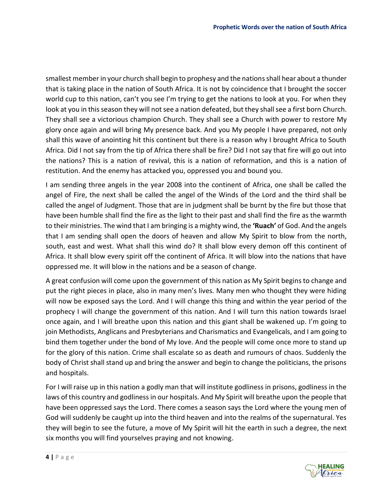smallest member in your church shall begin to prophesy and the nations shall hear about a thunder that is taking place in the nation of South Africa. It is not by coincidence that I brought the soccer world cup to this nation, can't you see I'm trying to get the nations to look at you. For when they look at you in this season they will not see a nation defeated, but they shall see a first born Church. They shall see a victorious champion Church. They shall see a Church with power to restore My glory once again and will bring My presence back. And you My people I have prepared, not only shall this wave of anointing hit this continent but there is a reason why I brought Africa to South Africa. Did I not say from the tip of Africa there shall be fire? Did I not say that fire will go out into the nations? This is a nation of revival, this is a nation of reformation, and this is a nation of restitution. And the enemy has attacked you, oppressed you and bound you.

I am sending three angels in the year 2008 into the continent of Africa, one shall be called the angel of Fire, the next shall be called the angel of the Winds of the Lord and the third shall be called the angel of Judgment. Those that are in judgment shall be burnt by the fire but those that have been humble shall find the fire as the light to their past and shall find the fire as the warmth to their ministries. The wind that I am bringing is a mighty wind, the **'Ruach'** of God. And the angels that I am sending shall open the doors of heaven and allow My Spirit to blow from the north, south, east and west. What shall this wind do? It shall blow every demon off this continent of Africa. It shall blow every spirit off the continent of Africa. It will blow into the nations that have oppressed me. It will blow in the nations and be a season of change.

A great confusion will come upon the government of this nation as My Spirit begins to change and put the right pieces in place, also in many men's lives. Many men who thought they were hiding will now be exposed says the Lord. And I will change this thing and within the year period of the prophecy I will change the government of this nation. And I will turn this nation towards Israel once again, and I will breathe upon this nation and this giant shall be wakened up. I'm going to join Methodists, Anglicans and Presbyterians and Charismatics and Evangelicals, and I am going to bind them together under the bond of My love. And the people will come once more to stand up for the glory of this nation. Crime shall escalate so as death and rumours of chaos. Suddenly the body of Christ shall stand up and bring the answer and begin to change the politicians, the prisons and hospitals.

For I will raise up in this nation a godly man that will institute godliness in prisons, godliness in the laws of this country and godliness in our hospitals. And My Spirit will breathe upon the people that have been oppressed says the Lord. There comes a season says the Lord where the young men of God will suddenly be caught up into the third heaven and into the realms of the supernatural. Yes they will begin to see the future, a move of My Spirit will hit the earth in such a degree, the next six months you will find yourselves praying and not knowing.

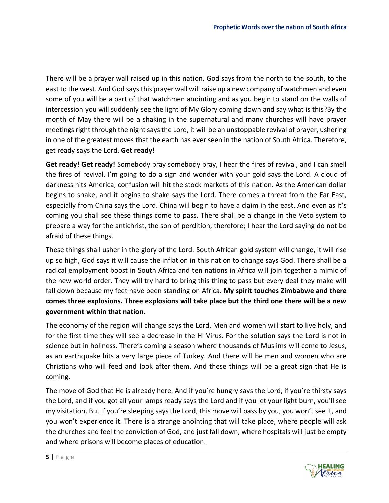There will be a prayer wall raised up in this nation. God says from the north to the south, to the east to the west. And God says this prayer wall will raise up a new company of watchmen and even some of you will be a part of that watchmen anointing and as you begin to stand on the walls of intercession you will suddenly see the light of My Glory coming down and say what is this?By the month of May there will be a shaking in the supernatural and many churches will have prayer meetings right through the night says the Lord, it will be an unstoppable revival of prayer, ushering in one of the greatest moves that the earth has ever seen in the nation of South Africa. Therefore, get ready says the Lord. **Get ready!** 

**Get ready! Get ready!** Somebody pray somebody pray, I hear the fires of revival, and I can smell the fires of revival. I'm going to do a sign and wonder with your gold says the Lord. A cloud of darkness hits America; confusion will hit the stock markets of this nation. As the American dollar begins to shake, and it begins to shake says the Lord. There comes a threat from the Far East, especially from China says the Lord. China will begin to have a claim in the east. And even as it's coming you shall see these things come to pass. There shall be a change in the Veto system to prepare a way for the antichrist, the son of perdition, therefore; I hear the Lord saying do not be afraid of these things.

These things shall usher in the glory of the Lord. South African gold system will change, it will rise up so high, God says it will cause the inflation in this nation to change says God. There shall be a radical employment boost in South Africa and ten nations in Africa will join together a mimic of the new world order. They will try hard to bring this thing to pass but every deal they make will fall down because my feet have been standing on Africa. **My spirit touches Zimbabwe and there comes three explosions. Three explosions will take place but the third one there will be a new government within that nation.** 

The economy of the region will change says the Lord. Men and women will start to live holy, and for the first time they will see a decrease in the HI Virus. For the solution says the Lord is not in science but in holiness. There's coming a season where thousands of Muslims will come to Jesus, as an earthquake hits a very large piece of Turkey. And there will be men and women who are Christians who will feed and look after them. And these things will be a great sign that He is coming.

The move of God that He is already here. And if you're hungry says the Lord, if you're thirsty says the Lord, and if you got all your lamps ready says the Lord and if you let your light burn, you'll see my visitation. But if you're sleeping says the Lord, this move will pass by you, you won't see it, and you won't experience it. There is a strange anointing that will take place, where people will ask the churches and feel the conviction of God, and just fall down, where hospitals will just be empty and where prisons will become places of education.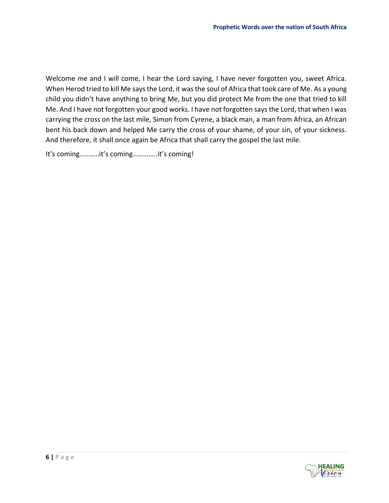Welcome me and I will come, I hear the Lord saying, I have never forgotten you, sweet Africa. When Herod tried to kill Me says the Lord, it was the soul of Africa that took care of Me. As a young child you didn't have anything to bring Me, but you did protect Me from the one that tried to kill Me. And I have not forgotten your good works. I have not forgotten says the Lord, that when I was carrying the cross on the last mile, Simon from Cyrene, a black man, a man from Africa, an African bent his back down and helped Me carry the cross of your shame, of your sin, of your sickness. And therefore, it shall once again be Africa that shall carry the gospel the last mile.

It's coming………..it's coming…………..it's coming!

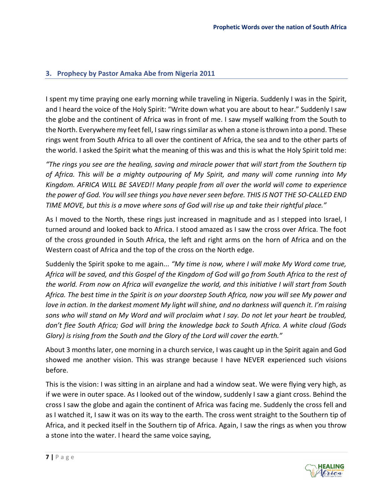#### <span id="page-7-0"></span>**3. Prophecy by Pastor Amaka Abe from Nigeria 2011**

I spent my time praying one early morning while traveling in Nigeria. Suddenly I was in the Spirit, and I heard the voice of the Holy Spirit: "Write down what you are about to hear." Suddenly I saw the globe and the continent of Africa was in front of me. I saw myself walking from the South to the North. Everywhere my feet fell, I saw rings similar as when a stone is thrown into a pond. These rings went from South Africa to all over the continent of Africa, the sea and to the other parts of the world. I asked the Spirit what the meaning of this was and this is what the Holy Spirit told me:

*"The rings you see are the healing, saving and miracle power that will start from the Southern tip of Africa. This will be a mighty outpouring of My Spirit, and many will come running into My Kingdom. AFRICA WILL BE SAVED!! Many people from all over the world will come to experience the power of God. You will see things you have never seen before. THIS IS NOT THE SO-CALLED END TIME MOVE, but this is a move where sons of God will rise up and take their rightful place."*

As I moved to the North, these rings just increased in magnitude and as I stepped into Israel, I turned around and looked back to Africa. I stood amazed as I saw the cross over Africa. The foot of the cross grounded in South Africa, the left and right arms on the horn of Africa and on the Western coast of Africa and the top of the cross on the North edge.

Suddenly the Spirit spoke to me again... *"My time is now, where I will make My Word come true, Africa will be saved, and this Gospel of the Kingdom of God will go from South Africa to the rest of the world. From now on Africa will evangelize the world, and this initiative I will start from South Africa. The best time in the Spirit is on your doorstep South Africa, now you will see My power and love in action. In the darkest moment My light will shine, and no darkness will quench it. I'm raising sons who will stand on My Word and will proclaim what I say. Do not let your heart be troubled, don't flee South Africa; God will bring the knowledge back to South Africa. A white cloud (Gods Glory) is rising from the South and the Glory of the Lord will cover the earth."*

About 3 months later, one morning in a church service, I was caught up in the Spirit again and God showed me another vision. This was strange because I have NEVER experienced such visions before.

This is the vision: I was sitting in an airplane and had a window seat. We were flying very high, as if we were in outer space. As I looked out of the window, suddenly I saw a giant cross. Behind the cross I saw the globe and again the continent of Africa was facing me. Suddenly the cross fell and as I watched it, I saw it was on its way to the earth. The cross went straight to the Southern tip of Africa, and it pecked itself in the Southern tip of Africa. Again, I saw the rings as when you throw a stone into the water. I heard the same voice saying,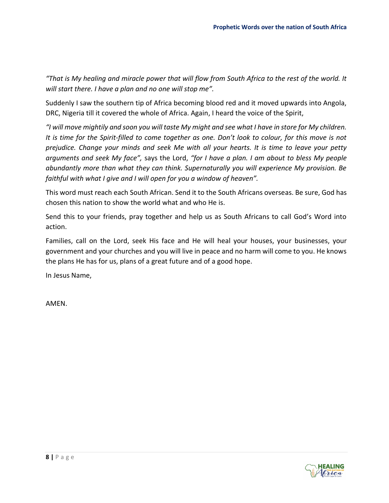*"That is My healing and miracle power that will flow from South Africa to the rest of the world. It will start there. I have a plan and no one will stop me".*

Suddenly I saw the southern tip of Africa becoming blood red and it moved upwards into Angola, DRC, Nigeria till it covered the whole of Africa. Again, I heard the voice of the Spirit,

*"I will move mightily and soon you will taste My might and see what I have in store for My children. It is time for the Spirit-filled to come together as one. Don't look to colour, for this move is not prejudice. Change your minds and seek Me with all your hearts. It is time to leave your petty arguments and seek My face",* says the Lord, *"for I have a plan. I am about to bless My people abundantly more than what they can think. Supernaturally you will experience My provision. Be faithful with what I give and I will open for you a window of heaven".*

This word must reach each South African. Send it to the South Africans overseas. Be sure, God has chosen this nation to show the world what and who He is.

Send this to your friends, pray together and help us as South Africans to call God's Word into action.

Families, call on the Lord, seek His face and He will heal your houses, your businesses, your government and your churches and you will live in peace and no harm will come to you. He knows the plans He has for us, plans of a great future and of a good hope.

In Jesus Name,

AMEN.

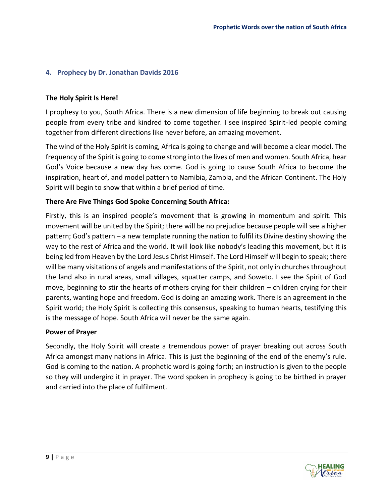#### <span id="page-9-0"></span>**4. Prophecy by Dr. Jonathan Davids 2016**

#### **The Holy Spirit Is Here!**

I prophesy to you, South Africa. There is a new dimension of life beginning to break out causing people from every tribe and kindred to come together. I see inspired Spirit-led people coming together from different directions like never before, an amazing movement.

The wind of the Holy Spirit is coming, Africa is going to change and will become a clear model. The frequency of the Spirit is going to come strong into the lives of men and women. South Africa, hear God's Voice because a new day has come. God is going to cause South Africa to become the inspiration, heart of, and model pattern to Namibia, Zambia, and the African Continent. The Holy Spirit will begin to show that within a brief period of time.

#### **There Are Five Things God Spoke Concerning South Africa:**

Firstly, this is an inspired people's movement that is growing in momentum and spirit. This movement will be united by the Spirit; there will be no prejudice because people will see a higher pattern; God's pattern – a new template running the nation to fulfil its Divine destiny showing the way to the rest of Africa and the world. It will look like nobody's leading this movement, but it is being led from Heaven by the Lord Jesus Christ Himself. The Lord Himself will begin to speak; there will be many visitations of angels and manifestations of the Spirit, not only in churches throughout the land also in rural areas, small villages, squatter camps, and Soweto. I see the Spirit of God move, beginning to stir the hearts of mothers crying for their children – children crying for their parents, wanting hope and freedom. God is doing an amazing work. There is an agreement in the Spirit world; the Holy Spirit is collecting this consensus, speaking to human hearts, testifying this is the message of hope. South Africa will never be the same again.

#### **Power of Prayer**

Secondly, the Holy Spirit will create a tremendous power of prayer breaking out across South Africa amongst many nations in Africa. This is just the beginning of the end of the enemy's rule. God is coming to the nation. A prophetic word is going forth; an instruction is given to the people so they will undergird it in prayer. The word spoken in prophecy is going to be birthed in prayer and carried into the place of fulfilment.

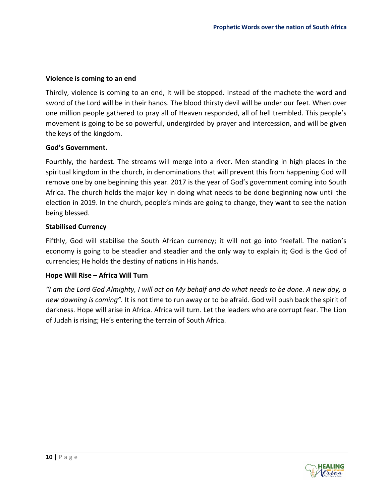#### **Violence is coming to an end**

Thirdly, violence is coming to an end, it will be stopped. Instead of the machete the word and sword of the Lord will be in their hands. The blood thirsty devil will be under our feet. When over one million people gathered to pray all of Heaven responded, all of hell trembled. This people's movement is going to be so powerful, undergirded by prayer and intercession, and will be given the keys of the kingdom.

#### **God's Government.**

Fourthly, the hardest. The streams will merge into a river. Men standing in high places in the spiritual kingdom in the church, in denominations that will prevent this from happening God will remove one by one beginning this year. 2017 is the year of God's government coming into South Africa. The church holds the major key in doing what needs to be done beginning now until the election in 2019. In the church, people's minds are going to change, they want to see the nation being blessed.

#### **Stabilised Currency**

Fifthly, God will stabilise the South African currency; it will not go into freefall. The nation's economy is going to be steadier and steadier and the only way to explain it; God is the God of currencies; He holds the destiny of nations in His hands.

#### **Hope Will Rise – Africa Will Turn**

*"I am the Lord God Almighty, I will act on My behalf and do what needs to be done. A new day, a new dawning is coming".* It is not time to run away or to be afraid. God will push back the spirit of darkness. Hope will arise in Africa. Africa will turn. Let the leaders who are corrupt fear. The Lion of Judah is rising; He's entering the terrain of South Africa.

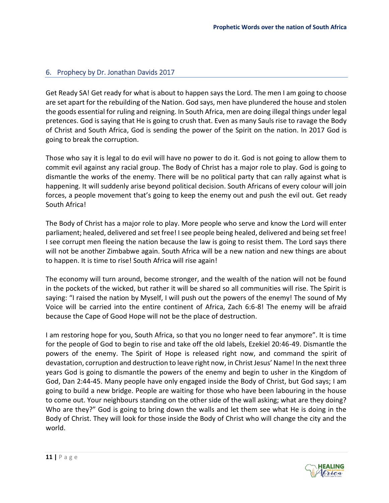#### <span id="page-11-0"></span>6. Prophecy by Dr. Jonathan Davids 2017

Get Ready SA! Get ready for what is about to happen says the Lord. The men I am going to choose are set apart for the rebuilding of the Nation. God says, men have plundered the house and stolen the goods essential for ruling and reigning. In South Africa, men are doing illegal things under legal pretences. God is saying that He is going to crush that. Even as many Sauls rise to ravage the Body of Christ and South Africa, God is sending the power of the Spirit on the nation. In 2017 God is going to break the corruption.

Those who say it is legal to do evil will have no power to do it. God is not going to allow them to commit evil against any racial group. The Body of Christ has a major role to play. God is going to dismantle the works of the enemy. There will be no political party that can rally against what is happening. It will suddenly arise beyond political decision. South Africans of every colour will join forces, a people movement that's going to keep the enemy out and push the evil out. Get ready South Africa!

The Body of Christ has a major role to play. More people who serve and know the Lord will enter parliament; healed, delivered and set free! I see people being healed, delivered and being set free! I see corrupt men fleeing the nation because the law is going to resist them. The Lord says there will not be another Zimbabwe again. South Africa will be a new nation and new things are about to happen. It is time to rise! South Africa will rise again!

The economy will turn around, become stronger, and the wealth of the nation will not be found in the pockets of the wicked, but rather it will be shared so all communities will rise. The Spirit is saying: "I raised the nation by Myself, I will push out the powers of the enemy! The sound of My Voice will be carried into the entire continent of Africa, Zach 6:6-8! The enemy will be afraid because the Cape of Good Hope will not be the place of destruction.

I am restoring hope for you, South Africa, so that you no longer need to fear anymore". It is time for the people of God to begin to rise and take off the old labels, Ezekiel 20:46-49. Dismantle the powers of the enemy. The Spirit of Hope is released right now, and command the spirit of devastation, corruption and destruction to leave right now, in Christ Jesus' Name! In the next three years God is going to dismantle the powers of the enemy and begin to usher in the Kingdom of God, Dan 2:44-45. Many people have only engaged inside the Body of Christ, but God says; I am going to build a new bridge. People are waiting for those who have been labouring in the house to come out. Your neighbours standing on the other side of the wall asking; what are they doing? Who are they?" God is going to bring down the walls and let them see what He is doing in the Body of Christ. They will look for those inside the Body of Christ who will change the city and the world.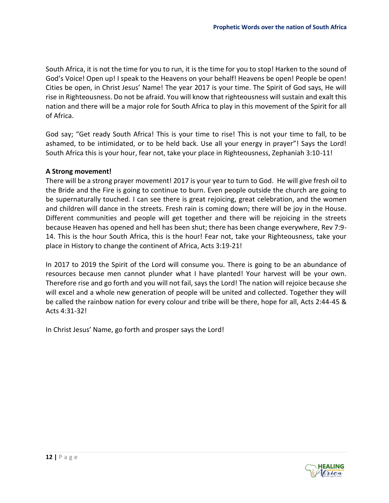South Africa, it is not the time for you to run, it is the time for you to stop! Harken to the sound of God's Voice! Open up! I speak to the Heavens on your behalf! Heavens be open! People be open! Cities be open, in Christ Jesus' Name! The year 2017 is your time. The Spirit of God says, He will rise in Righteousness. Do not be afraid. You will know that righteousness will sustain and exalt this nation and there will be a major role for South Africa to play in this movement of the Spirit for all of Africa.

God say; "Get ready South Africa! This is your time to rise! This is not your time to fall, to be ashamed, to be intimidated, or to be held back. Use all your energy in prayer"! Says the Lord! South Africa this is your hour, fear not, take your place in Righteousness, Zephaniah 3:10-11!

#### **A Strong movement!**

There will be a strong prayer movement! 2017 is your year to turn to God. He will give fresh oil to the Bride and the Fire is going to continue to burn. Even people outside the church are going to be supernaturally touched. I can see there is great rejoicing, great celebration, and the women and children will dance in the streets. Fresh rain is coming down; there will be joy in the House. Different communities and people will get together and there will be rejoicing in the streets because Heaven has opened and hell has been shut; there has been change everywhere, Rev 7:9- 14. This is the hour South Africa, this is the hour! Fear not, take your Righteousness, take your place in History to change the continent of Africa, Acts 3:19-21!

In 2017 to 2019 the Spirit of the Lord will consume you. There is going to be an abundance of resources because men cannot plunder what I have planted! Your harvest will be your own. Therefore rise and go forth and you will not fail, says the Lord! The nation will rejoice because she will excel and a whole new generation of people will be united and collected. Together they will be called the rainbow nation for every colour and tribe will be there, hope for all, Acts 2:44-45 & Acts 4:31-32!

In Christ Jesus' Name, go forth and prosper says the Lord!

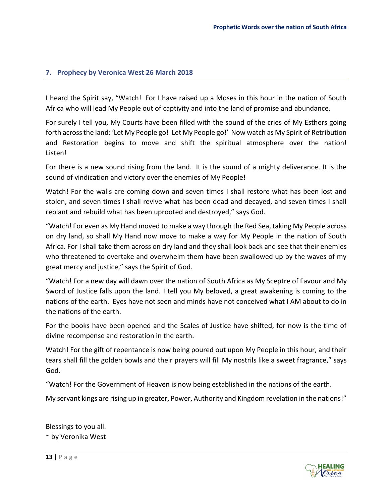#### <span id="page-13-0"></span>**7. Prophecy by Veronica West 26 March 2018**

I heard the Spirit say, "Watch! For I have raised up a Moses in this hour in the nation of South Africa who will lead My People out of captivity and into the land of promise and abundance.

For surely I tell you, My Courts have been filled with the sound of the cries of My Esthers going forth across the land: 'Let My People go! Let My People go!' Now watch as My Spirit of Retribution and Restoration begins to move and shift the spiritual atmosphere over the nation! Listen!

For there is a new sound rising from the land. It is the sound of a mighty deliverance. It is the sound of vindication and victory over the enemies of My People!

Watch! For the walls are coming down and seven times I shall restore what has been lost and stolen, and seven times I shall revive what has been dead and decayed, and seven times I shall replant and rebuild what has been uprooted and destroyed," says God.

"Watch! For even as My Hand moved to make a way through the Red Sea, taking My People across on dry land, so shall My Hand now move to make a way for My People in the nation of South Africa. For I shall take them across on dry land and they shall look back and see that their enemies who threatened to overtake and overwhelm them have been swallowed up by the waves of my great mercy and justice," says the Spirit of God.

"Watch! For a new day will dawn over the nation of South Africa as My Sceptre of Favour and My Sword of Justice falls upon the land. I tell you My beloved, a great awakening is coming to the nations of the earth. Eyes have not seen and minds have not conceived what I AM about to do in the nations of the earth.

For the books have been opened and the Scales of Justice have shifted, for now is the time of divine recompense and restoration in the earth.

Watch! For the gift of repentance is now being poured out upon My People in this hour, and their tears shall fill the golden bowls and their prayers will fill My nostrils like a sweet fragrance," says God.

"Watch! For the Government of Heaven is now being established in the nations of the earth.

My servant kings are rising up in greater, Power, Authority and Kingdom revelation in the nations!"

Blessings to you all. ~ by Veronika West

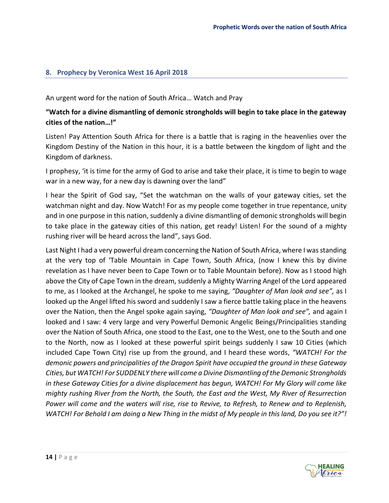#### <span id="page-14-0"></span>**8. Prophecy by Veronica West 16 April 2018**

An urgent word for the nation of South Africa… Watch and Pray

#### **"Watch for a divine dismantling of demonic strongholds will begin to take place in the gateway cities of the nation…!"**

Listen! Pay Attention South Africa for there is a battle that is raging in the heavenlies over the Kingdom Destiny of the Nation in this hour, it is a battle between the kingdom of light and the Kingdom of darkness.

I prophesy, 'it is time for the army of God to arise and take their place, it is time to begin to wage war in a new way, for a new day is dawning over the land"

I hear the Spirit of God say, "Set the watchman on the walls of your gateway cities, set the watchman night and day. Now Watch! For as my people come together in true repentance, unity and in one purpose in this nation, suddenly a divine dismantling of demonic strongholds will begin to take place in the gateway cities of this nation, get ready! Listen! For the sound of a mighty rushing river will be heard across the land", says God.

Last Night I had a very powerful dream concerning the Nation of South Africa, where I was standing at the very top of 'Table Mountain in Cape Town, South Africa, (now I knew this by divine revelation as I have never been to Cape Town or to Table Mountain before). Now as I stood high above the City of Cape Town in the dream, suddenly a Mighty Warring Angel of the Lord appeared to me, as I looked at the Archangel, he spoke to me saying, *"Daughter of Man look and see",* as I looked up the Angel lifted his sword and suddenly I saw a fierce battle taking place in the heavens over the Nation, then the Angel spoke again saying, *"Daughter of Man look and see",* and again I looked and I saw: 4 very large and very Powerful Demonic Angelic Beings/Principalities standing over the Nation of South Africa, one stood to the East, one to the West, one to the South and one to the North, now as I looked at these powerful spirit beings suddenly I saw 10 Cities (which included Cape Town City) rise up from the ground, and I heard these words, *"WATCH! For the demonic powers and principalities of the Dragon Spirit have occupied the ground in these Gateway Cities, but WATCH! For SUDDENLY there will come a Divine Dismantling of the Demonic Strongholds in these Gateway Cities for a divine displacement has begun, WATCH! For My Glory will come like mighty rushing River from the North, the South, the East and the West, My River of Resurrection Power will come and the waters will rise, rise to Revive, to Refresh, to Renew and to Replenish, WATCH! For Behold I am doing a New Thing in the midst of My people in this land, Do you see it?"!*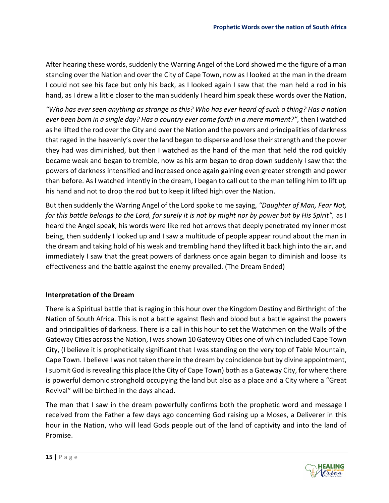After hearing these words, suddenly the Warring Angel of the Lord showed me the figure of a man standing over the Nation and over the City of Cape Town, now as I looked at the man in the dream I could not see his face but only his back, as I looked again I saw that the man held a rod in his hand, as I drew a little closer to the man suddenly I heard him speak these words over the Nation,

*"Who has ever seen anything as strange as this? Who has ever heard of such a thing? Has a nation ever been born in a single day? Has a country ever come forth in a mere moment?",* then I watched as he lifted the rod over the City and over the Nation and the powers and principalities of darkness that raged in the heavenly's over the land began to disperse and lose their strength and the power they had was diminished, but then I watched as the hand of the man that held the rod quickly became weak and began to tremble, now as his arm began to drop down suddenly I saw that the powers of darkness intensified and increased once again gaining even greater strength and power than before. As I watched intently in the dream, I began to call out to the man telling him to lift up his hand and not to drop the rod but to keep it lifted high over the Nation.

But then suddenly the Warring Angel of the Lord spoke to me saying, *"Daughter of Man, Fear Not, for this battle belongs to the Lord, for surely it is not by might nor by power but by His Spirit",* as I heard the Angel speak, his words were like red hot arrows that deeply penetrated my inner most being, then suddenly I looked up and I saw a multitude of people appear round about the man in the dream and taking hold of his weak and trembling hand they lifted it back high into the air, and immediately I saw that the great powers of darkness once again began to diminish and loose its effectiveness and the battle against the enemy prevailed. (The Dream Ended)

#### **Interpretation of the Dream**

There is a Spiritual battle that is raging in this hour over the Kingdom Destiny and Birthright of the Nation of South Africa. This is not a battle against flesh and blood but a battle against the powers and principalities of darkness. There is a call in this hour to set the Watchmen on the Walls of the Gateway Cities across the Nation, I was shown 10 Gateway Cities one of which included Cape Town City, (I believe it is prophetically significant that I was standing on the very top of Table Mountain, Cape Town. I believe I was not taken there in the dream by coincidence but by divine appointment, I submit God is revealing this place (the City of Cape Town) both as a Gateway City, for where there is powerful demonic stronghold occupying the land but also as a place and a City where a "Great Revival" will be birthed in the days ahead.

The man that I saw in the dream powerfully confirms both the prophetic word and message I received from the Father a few days ago concerning God raising up a Moses, a Deliverer in this hour in the Nation, who will lead Gods people out of the land of captivity and into the land of Promise.

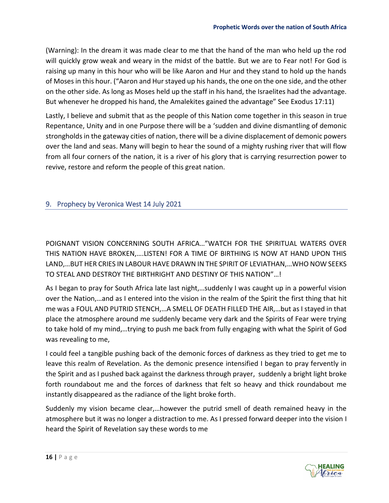(Warning): In the dream it was made clear to me that the hand of the man who held up the rod will quickly grow weak and weary in the midst of the battle. But we are to Fear not! For God is raising up many in this hour who will be like Aaron and Hur and they stand to hold up the hands of Moses in this hour. ("Aaron and Hur stayed up his hands, the one on the one side, and the other on the other side. As long as Moses held up the staff in his hand, the Israelites had the advantage. But whenever he dropped his hand, the Amalekites gained the advantage" See Exodus 17:11)

Lastly, I believe and submit that as the people of this Nation come together in this season in true Repentance, Unity and in one Purpose there will be a 'sudden and divine dismantling of demonic strongholds in the gateway cities of nation, there will be a divine displacement of demonic powers over the land and seas. Many will begin to hear the sound of a mighty rushing river that will flow from all four corners of the nation, it is a river of his glory that is carrying resurrection power to revive, restore and reform the people of this great nation.

#### <span id="page-16-0"></span>9. Prophecy by Veronica West 14 July 2021

POIGNANT VISION CONCERNING SOUTH AFRICA…"WATCH FOR THE SPIRITUAL WATERS OVER THIS NATION HAVE BROKEN,….LISTEN! FOR A TIME OF BIRTHING IS NOW AT HAND UPON THIS LAND,…BUT HER CRIES IN LABOUR HAVE DRAWN IN THE SPIRIT OF LEVIATHAN,…WHO NOW SEEKS TO STEAL AND DESTROY THE BIRTHRIGHT AND DESTINY OF THIS NATION"…!

As I began to pray for South Africa late last night,…suddenly I was caught up in a powerful vision over the Nation,…and as I entered into the vision in the realm of the Spirit the first thing that hit me was a FOUL AND PUTRID STENCH,…A SMELL OF DEATH FILLED THE AIR,…but as I stayed in that place the atmosphere around me suddenly became very dark and the Spirits of Fear were trying to take hold of my mind,…trying to push me back from fully engaging with what the Spirit of God was revealing to me,

I could feel a tangible pushing back of the demonic forces of darkness as they tried to get me to leave this realm of Revelation. As the demonic presence intensified I began to pray fervently in the Spirit and as I pushed back against the darkness through prayer, suddenly a bright light broke forth roundabout me and the forces of darkness that felt so heavy and thick roundabout me instantly disappeared as the radiance of the light broke forth.

Suddenly my vision became clear,…however the putrid smell of death remained heavy in the atmosphere but it was no longer a distraction to me. As I pressed forward deeper into the vision I heard the Spirit of Revelation say these words to me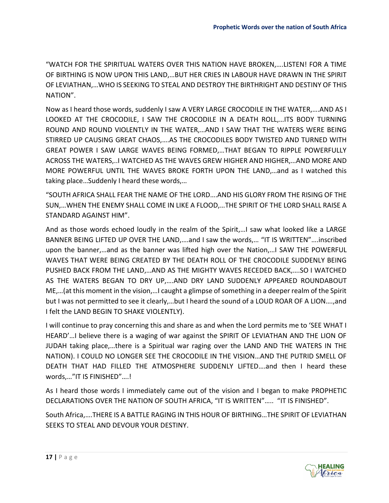"WATCH FOR THE SPIRITUAL WATERS OVER THIS NATION HAVE BROKEN,….LISTEN! FOR A TIME OF BIRTHING IS NOW UPON THIS LAND,…BUT HER CRIES IN LABOUR HAVE DRAWN IN THE SPIRIT OF LEVIATHAN,…WHO IS SEEKING TO STEAL AND DESTROY THE BIRTHRIGHT AND DESTINY OF THIS NATION".

Now as I heard those words, suddenly I saw A VERY LARGE CROCODILE IN THE WATER,….AND AS I LOOKED AT THE CROCODILE, I SAW THE CROCODILE IN A DEATH ROLL,…ITS BODY TURNING ROUND AND ROUND VIOLENTLY IN THE WATER,…AND I SAW THAT THE WATERS WERE BEING STIRRED UP CAUSING GREAT CHAOS,….AS THE CROCODILES BODY TWISTED AND TURNED WITH GREAT POWER I SAW LARGE WAVES BEING FORMED,…THAT BEGAN TO RIPPLE POWERFULLY ACROSS THE WATERS,..I WATCHED AS THE WAVES GREW HIGHER AND HIGHER,…AND MORE AND MORE POWERFUL UNTIL THE WAVES BROKE FORTH UPON THE LAND,…and as I watched this taking place…Suddenly I heard these words,…

"SOUTH AFRICA SHALL FEAR THE NAME OF THE LORD….AND HIS GLORY FROM THE RISING OF THE SUN,…WHEN THE ENEMY SHALL COME IN LIKE A FLOOD,…THE SPIRIT OF THE LORD SHALL RAISE A STANDARD AGAINST HIM".

And as those words echoed loudly in the realm of the Spirit,…I saw what looked like a LARGE BANNER BEING LIFTED UP OVER THE LAND,….and I saw the words,… "IT IS WRITTEN"….inscribed upon the banner,…and as the banner was lifted high over the Nation,…I SAW THE POWERFUL WAVES THAT WERE BEING CREATED BY THE DEATH ROLL OF THE CROCODILE SUDDENLY BEING PUSHED BACK FROM THE LAND,…AND AS THE MIGHTY WAVES RECEDED BACK,….SO I WATCHED AS THE WATERS BEGAN TO DRY UP,….AND DRY LAND SUDDENLY APPEARED ROUNDABOUT ME,…(at this moment in the vision,…I caught a glimpse of something in a deeper realm of the Spirit but I was not permitted to see it clearly,…but I heard the sound of a LOUD ROAR OF A LION….,and I felt the LAND BEGIN TO SHAKE VIOLENTLY).

I will continue to pray concerning this and share as and when the Lord permits me to 'SEE WHAT I HEARD'…I believe there is a waging of war against the SPIRIT OF LEVIATHAN AND THE LION OF JUDAH taking place,…there is a Spiritual war raging over the LAND AND THE WATERS IN THE NATION). I COULD NO LONGER SEE THE CROCODILE IN THE VISION…AND THE PUTRID SMELL OF DEATH THAT HAD FILLED THE ATMOSPHERE SUDDENLY LIFTED….and then I heard these words,…"IT IS FINISHED"….!

As I heard those words I immediately came out of the vision and I began to make PROPHETIC DECLARATIONS OVER THE NATION OF SOUTH AFRICA, "IT IS WRITTEN"….. "IT IS FINISHED".

South Africa,….THERE IS A BATTLE RAGING IN THIS HOUR OF BIRTHING…THE SPIRIT OF LEVIATHAN SEEKS TO STEAL AND DEVOUR YOUR DESTINY.

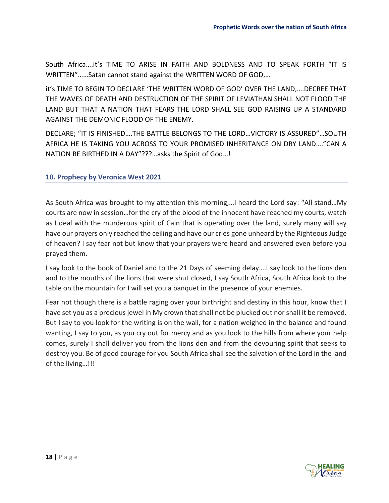South Africa….it's TIME TO ARISE IN FAITH AND BOLDNESS AND TO SPEAK FORTH "IT IS WRITTEN"……Satan cannot stand against the WRITTEN WORD OF GOD,…

it's TIME TO BEGIN TO DECLARE 'THE WRITTEN WORD OF GOD' OVER THE LAND,….DECREE THAT THE WAVES OF DEATH AND DESTRUCTION OF THE SPIRIT OF LEVIATHAN SHALL NOT FLOOD THE LAND BUT THAT A NATION THAT FEARS THE LORD SHALL SEE GOD RAISING UP A STANDARD AGAINST THE DEMONIC FLOOD OF THE ENEMY.

DECLARE; "IT IS FINISHED….THE BATTLE BELONGS TO THE LORD…VICTORY IS ASSURED"…SOUTH AFRICA HE IS TAKING YOU ACROSS TO YOUR PROMISED INHERITANCE ON DRY LAND…."CAN A NATION BE BIRTHED IN A DAY"???…asks the Spirit of God…!

#### <span id="page-18-0"></span>**10. Prophecy by Veronica West 2021**

As South Africa was brought to my attention this morning,…I heard the Lord say: "All stand…My courts are now in session…for the cry of the blood of the innocent have reached my courts, watch as I deal with the murderous spirit of Cain that is operating over the land, surely many will say have our prayers only reached the ceiling and have our cries gone unheard by the Righteous Judge of heaven? I say fear not but know that your prayers were heard and answered even before you prayed them.

I say look to the book of Daniel and to the 21 Days of seeming delay….I say look to the lions den and to the mouths of the lions that were shut closed, I say South Africa, South Africa look to the table on the mountain for I will set you a banquet in the presence of your enemies.

Fear not though there is a battle raging over your birthright and destiny in this hour, know that I have set you as a precious jewel in My crown that shall not be plucked out nor shall it be removed. But I say to you look for the writing is on the wall, for a nation weighed in the balance and found wanting, I say to you, as you cry out for mercy and as you look to the hills from where your help comes, surely I shall deliver you from the lions den and from the devouring spirit that seeks to destroy you. Be of good courage for you South Africa shall see the salvation of the Lord in the land of the living…!!!

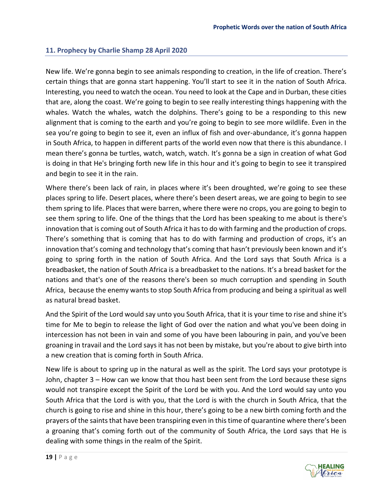#### <span id="page-19-0"></span>**11. Prophecy by Charlie Shamp 28 April 2020**

New life. We're gonna begin to see animals responding to creation, in the life of creation. There's certain things that are gonna start happening. You'll start to see it in the nation of South Africa. Interesting, you need to watch the ocean. You need to look at the Cape and in Durban, these cities that are, along the coast. We're going to begin to see really interesting things happening with the whales. Watch the whales, watch the dolphins. There's going to be a responding to this new alignment that is coming to the earth and you're going to begin to see more wildlife. Even in the sea you're going to begin to see it, even an influx of fish and over-abundance, it's gonna happen in South Africa, to happen in different parts of the world even now that there is this abundance. I mean there's gonna be turtles, watch, watch, watch. It's gonna be a sign in creation of what God is doing in that He's bringing forth new life in this hour and it's going to begin to see it transpired and begin to see it in the rain.

Where there's been lack of rain, in places where it's been droughted, we're going to see these places spring to life. Desert places, where there's been desert areas, we are going to begin to see them spring to life. Places that were barren, where there were no crops, you are going to begin to see them spring to life. One of the things that the Lord has been speaking to me about is there's innovation that is coming out of South Africa it has to do with farming and the production of crops. There's something that is coming that has to do with farming and production of crops, it's an innovation that's coming and technology that's coming that hasn't previously been known and it's going to spring forth in the nation of South Africa. And the Lord says that South Africa is a breadbasket, the nation of South Africa is a breadbasket to the nations. It's a bread basket for the nations and that's one of the reasons there's been so much corruption and spending in South Africa, because the enemy wants to stop South Africa from producing and being a spiritual as well as natural bread basket.

And the Spirit of the Lord would say unto you South Africa, that it is your time to rise and shine it's time for Me to begin to release the light of God over the nation and what you've been doing in intercession has not been in vain and some of you have been labouring in pain, and you've been groaning in travail and the Lord says it has not been by mistake, but you're about to give birth into a new creation that is coming forth in South Africa.

New life is about to spring up in the natural as well as the spirit. The Lord says your prototype is John, chapter 3 – How can we know that thou hast been sent from the Lord because these signs would not transpire except the Spirit of the Lord be with you. And the Lord would say unto you South Africa that the Lord is with you, that the Lord is with the church in South Africa, that the church is going to rise and shine in this hour, there's going to be a new birth coming forth and the prayers of the saints that have been transpiring even in this time of quarantine where there's been a groaning that's coming forth out of the community of South Africa, the Lord says that He is dealing with some things in the realm of the Spirit.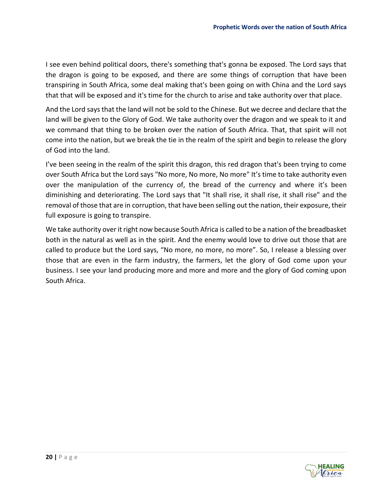I see even behind political doors, there's something that's gonna be exposed. The Lord says that the dragon is going to be exposed, and there are some things of corruption that have been transpiring in South Africa, some deal making that's been going on with China and the Lord says that that will be exposed and it's time for the church to arise and take authority over that place.

And the Lord says that the land will not be sold to the Chinese. But we decree and declare that the land will be given to the Glory of God. We take authority over the dragon and we speak to it and we command that thing to be broken over the nation of South Africa. That, that spirit will not come into the nation, but we break the tie in the realm of the spirit and begin to release the glory of God into the land.

I've been seeing in the realm of the spirit this dragon, this red dragon that's been trying to come over South Africa but the Lord says "No more, No more, No more" It's time to take authority even over the manipulation of the currency of, the bread of the currency and where it's been diminishing and deteriorating. The Lord says that "It shall rise, it shall rise, it shall rise" and the removal of those that are in corruption, that have been selling out the nation, their exposure, their full exposure is going to transpire.

We take authority over it right now because South Africa is called to be a nation of the breadbasket both in the natural as well as in the spirit. And the enemy would love to drive out those that are called to produce but the Lord says, "No more, no more, no more". So, I release a blessing over those that are even in the farm industry, the farmers, let the glory of God come upon your business. I see your land producing more and more and more and the glory of God coming upon South Africa.

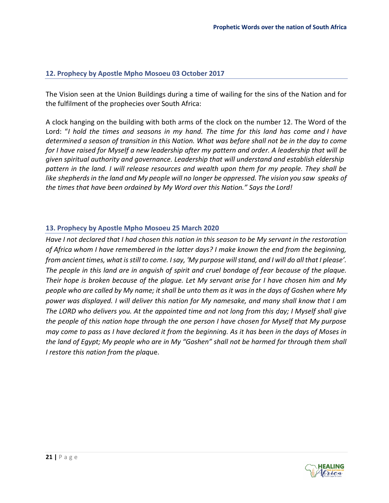#### <span id="page-21-0"></span>**12. Prophecy by Apostle Mpho Mosoeu 03 October 2017**

The Vision seen at the Union Buildings during a time of wailing for the sins of the Nation and for the fulfilment of the prophecies over South Africa:

A clock hanging on the building with both arms of the clock on the number 12. The Word of the Lord: "*I hold the times and seasons in my hand. The time for this land has come and I have determined a season of transition in this Nation. What was before shall not be in the day to come*  for I have raised for Myself a new leadership after my pattern and order. A leadership that will be *given spiritual authority and governance. Leadership that will understand and establish eldership pattern in the land. I will release resources and wealth upon them for my people. They shall be like shepherds in the land and My people will no longer be oppressed. The vision you saw speaks of the times that have been ordained by My Word over this Nation." Says the Lord!*

#### <span id="page-21-1"></span>**13. Prophecy by Apostle Mpho Mosoeu 25 March 2020**

*Have I not declared that I had chosen this nation in this season to be My servant in the restoration of Africa whom I have remembered in the latter days? I make known the end from the beginning, from ancient times, what is still to come. I say, 'My purpose will stand, and I will do all that I please'. The people in this land are in anguish of spirit and cruel bondage of fear because of the plaque. Their hope is broken because of the plague. Let My servant arise for I have chosen him and My people who are called by My name; it shall be unto them as it was in the days of Goshen where My power was displayed. I will deliver this nation for My namesake, and many shall know that I am The LORD who delivers you. At the appointed time and not long from this day; I Myself shall give the people of this nation hope through the one person I have chosen for Myself that My purpose may come to pass as I have declared it from the beginning. As it has been in the days of Moses in the land of Egypt; My people who are in My "Goshen" shall not be harmed for through them shall I restore this nation from the plaq*ue.

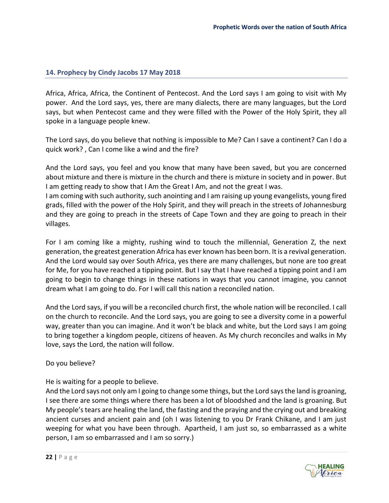#### <span id="page-22-0"></span>**14. Prophecy by Cindy Jacobs 17 May 2018**

Africa, Africa, Africa, the Continent of Pentecost. And the Lord says I am going to visit with My power. And the Lord says, yes, there are many dialects, there are many languages, but the Lord says, but when Pentecost came and they were filled with the Power of the Holy Spirit, they all spoke in a language people knew.

The Lord says, do you believe that nothing is impossible to Me? Can I save a continent? Can I do a quick work? , Can I come like a wind and the fire?

And the Lord says, you feel and you know that many have been saved, but you are concerned about mixture and there is mixture in the church and there is mixture in society and in power. But I am getting ready to show that I Am the Great I Am, and not the great I was.

I am coming with such authority, such anointing and I am raising up young evangelists, young fired grads, filled with the power of the Holy Spirit, and they will preach in the streets of Johannesburg and they are going to preach in the streets of Cape Town and they are going to preach in their villages.

For I am coming like a mighty, rushing wind to touch the millennial, Generation Z, the next generation, the greatest generation Africa has ever known has been born. It is a revival generation. And the Lord would say over South Africa, yes there are many challenges, but none are too great for Me, for you have reached a tipping point. But I say that I have reached a tipping point and I am going to begin to change things in these nations in ways that you cannot imagine, you cannot dream what I am going to do. For I will call this nation a reconciled nation.

And the Lord says, if you will be a reconciled church first, the whole nation will be reconciled. I call on the church to reconcile. And the Lord says, you are going to see a diversity come in a powerful way, greater than you can imagine. And it won't be black and white, but the Lord says I am going to bring together a kingdom people, citizens of heaven. As My church reconciles and walks in My love, says the Lord, the nation will follow.

Do you believe?

He is waiting for a people to believe.

And the Lord says not only am I going to change some things, but the Lord says the land is groaning, I see there are some things where there has been a lot of bloodshed and the land is groaning. But My people's tears are healing the land, the fasting and the praying and the crying out and breaking ancient curses and ancient pain and (oh I was listening to you Dr Frank Chikane, and I am just weeping for what you have been through. Apartheid, I am just so, so embarrassed as a white person, I am so embarrassed and I am so sorry.)

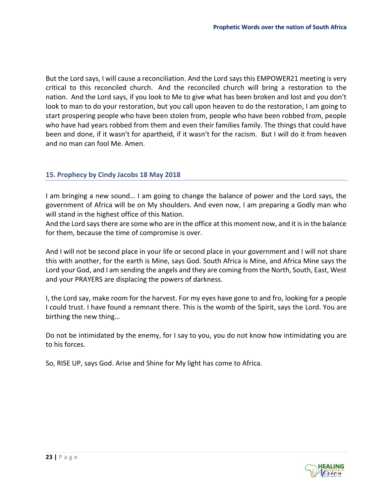But the Lord says, I will cause a reconciliation. And the Lord says this EMPOWER21 meeting is very critical to this reconciled church. And the reconciled church will bring a restoration to the nation. And the Lord says, if you look to Me to give what has been broken and lost and you don't look to man to do your restoration, but you call upon heaven to do the restoration, I am going to start prospering people who have been stolen from, people who have been robbed from, people who have had years robbed from them and even their families family. The things that could have been and done, if it wasn't for apartheid, if it wasn't for the racism. But I will do it from heaven and no man can fool Me. Amen.

#### <span id="page-23-0"></span>**15. Prophecy by Cindy Jacobs 18 May 2018**

I am bringing a new sound… I am going to change the balance of power and the Lord says, the government of Africa will be on My shoulders. And even now, I am preparing a Godly man who will stand in the highest office of this Nation.

And the Lord says there are some who are in the office at this moment now, and it is in the balance for them, because the time of compromise is over.

And I will not be second place in your life or second place in your government and I will not share this with another, for the earth is Mine, says God. South Africa is Mine, and Africa Mine says the Lord your God, and I am sending the angels and they are coming from the North, South, East, West and your PRAYERS are displacing the powers of darkness.

I, the Lord say, make room for the harvest. For my eyes have gone to and fro, looking for a people I could trust. I have found a remnant there. This is the womb of the Spirit, says the Lord. You are birthing the new thing…

Do not be intimidated by the enemy, for I say to you, you do not know how intimidating you are to his forces.

So, RISE UP, says God. Arise and Shine for My light has come to Africa.

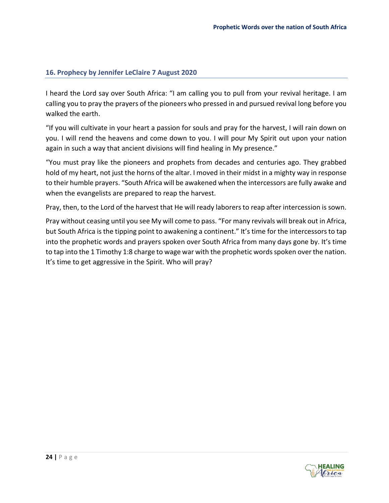#### <span id="page-24-0"></span>**16. Prophecy by Jennifer LeClaire 7 August 2020**

I heard the Lord say over South Africa: "I am calling you to pull from your revival heritage. I am calling you to pray the prayers of the pioneers who pressed in and pursued revival long before you walked the earth.

"If you will cultivate in your heart a passion for souls and pray for the harvest, I will rain down on you. I will rend the heavens and come down to you. I will pour My Spirit out upon your nation again in such a way that ancient divisions will find healing in My presence."

"You must pray like the pioneers and prophets from decades and centuries ago. They grabbed hold of my heart, not just the horns of the altar. I moved in their midst in a mighty way in response to their humble prayers. "South Africa will be awakened when the intercessors are fully awake and when the evangelists are prepared to reap the harvest.

Pray, then, to the Lord of the harvest that He will ready laborers to reap after intercession is sown.

Pray without ceasing until you see My will come to pass. "For many revivals will break out in Africa, but South Africa is the tipping point to awakening a continent." It's time for the intercessors to tap into the prophetic words and prayers spoken over South Africa from many days gone by. It's time to tap into the 1 Timothy 1:8 charge to wage war with the prophetic words spoken over the nation. It's time to get aggressive in the Spirit. Who will pray?

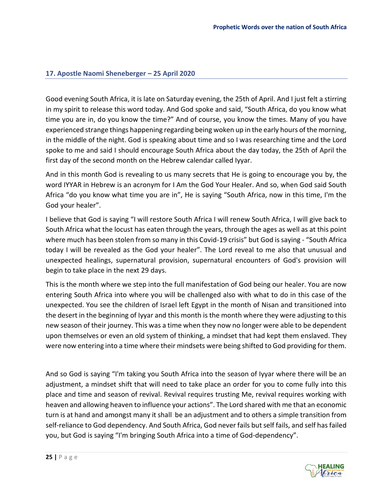#### <span id="page-25-0"></span>**17. Apostle Naomi Sheneberger – 25 April 2020**

Good evening South Africa, it is late on Saturday evening, the 25th of April. And I just felt a stirring in my spirit to release this word today. And God spoke and said, "South Africa, do you know what time you are in, do you know the time?" And of course, you know the times. Many of you have experienced strange things happening regarding being woken up in the early hours of the morning, in the middle of the night. God is speaking about time and so I was researching time and the Lord spoke to me and said I should encourage South Africa about the day today, the 25th of April the first day of the second month on the Hebrew calendar called Iyyar.

And in this month God is revealing to us many secrets that He is going to encourage you by, the word IYYAR in Hebrew is an acronym for I Am the God Your Healer. And so, when God said South Africa "do you know what time you are in", He is saying "South Africa, now in this time, I'm the God your healer".

I believe that God is saying "I will restore South Africa I will renew South Africa, I will give back to South Africa what the locust has eaten through the years, through the ages as well as at this point where much has been stolen from so many in this Covid-19 crisis" but God is saying - "South Africa" today I will be revealed as the God your healer". The Lord reveal to me also that unusual and unexpected healings, supernatural provision, supernatural encounters of God's provision will begin to take place in the next 29 days.

This is the month where we step into the full manifestation of God being our healer. You are now entering South Africa into where you will be challenged also with what to do in this case of the unexpected. You see the children of Israel left Egypt in the month of Nisan and transitioned into the desert in the beginning of Iyyar and this month is the month where they were adjusting to this new season of their journey. This was a time when they now no longer were able to be dependent upon themselves or even an old system of thinking, a mindset that had kept them enslaved. They were now entering into a time where their mindsets were being shifted to God providing for them.

And so God is saying "I'm taking you South Africa into the season of Iyyar where there will be an adjustment, a mindset shift that will need to take place an order for you to come fully into this place and time and season of revival. Revival requires trusting Me, revival requires working with heaven and allowing heaven to influence your actions". The Lord shared with me that an economic turn is at hand and amongst many it shall be an adjustment and to others a simple transition from self-reliance to God dependency. And South Africa, God never fails but self fails, and self has failed you, but God is saying "I'm bringing South Africa into a time of God-dependency".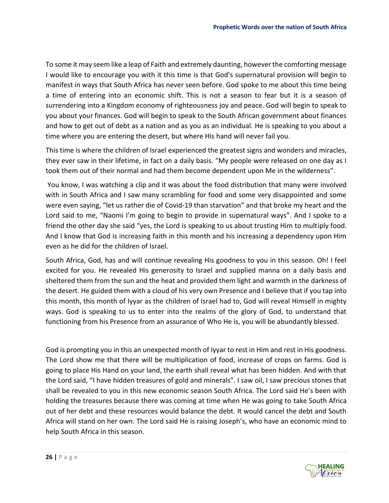To some it may seem like a leap of Faith and extremely daunting, however the comforting message I would like to encourage you with it this time is that God's supernatural provision will begin to manifest in ways that South Africa has never seen before. God spoke to me about this time being a time of entering into an economic shift. This is not a season to fear but it is a season of surrendering into a Kingdom economy of righteousness joy and peace. God will begin to speak to you about your finances. God will begin to speak to the South African government about finances and how to get out of debt as a nation and as you as an individual. He is speaking to you about a time where you are entering the desert, but where His hand will never fail you.

This time is where the children of Israel experienced the greatest signs and wonders and miracles, they ever saw in their lifetime, in fact on a daily basis. "My people were released on one day as I took them out of their normal and had them become dependent upon Me in the wilderness".

You know, I was watching a clip and it was about the food distribution that many were involved with in South Africa and I saw many scrambling for food and some very disappointed and some were even saying, "let us rather die of Covid-19 than starvation" and that broke my heart and the Lord said to me, "Naomi I'm going to begin to provide in supernatural ways". And I spoke to a friend the other day she said "yes, the Lord is speaking to us about trusting Him to multiply food. And I know that God is increasing faith in this month and his increasing a dependency upon Him even as he did for the children of Israel.

South Africa, God, has and will continue revealing His goodness to you in this season. Oh! I feel excited for you. He revealed His generosity to Israel and supplied manna on a daily basis and sheltered them from the sun and the heat and provided them light and warmth in the darkness of the desert. He guided them with a cloud of his very own Presence and I believe that if you tap into this month, this month of Iyyar as the children of Israel had to, God will reveal Himself in mighty ways. God is speaking to us to enter into the realms of the glory of God, to understand that functioning from his Presence from an assurance of Who He is, you will be abundantly blessed.

God is prompting you in this an unexpected month of Iyyar to rest in Him and rest in His goodness. The Lord show me that there will be multiplication of food, increase of crops on farms. God is going to place His Hand on your land, the earth shall reveal what has been hidden. And with that the Lord said, "I have hidden treasures of gold and minerals". I saw oil, I saw precious stones that shall be revealed to you in this new economic season South Africa. The Lord said He's been with holding the treasures because there was coming at time when He was going to take South Africa out of her debt and these resources would balance the debt. It would cancel the debt and South Africa will stand on her own. The Lord said He is raising Joseph's, who have an economic mind to help South Africa in this season.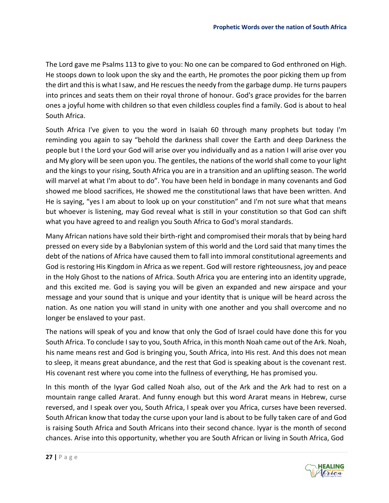The Lord gave me Psalms 113 to give to you: No one can be compared to God enthroned on High. He stoops down to look upon the sky and the earth, He promotes the poor picking them up from the dirt and this is what I saw, and He rescues the needy from the garbage dump. He turns paupers into princes and seats them on their royal throne of honour. God's grace provides for the barren ones a joyful home with children so that even childless couples find a family. God is about to heal South Africa.

South Africa I've given to you the word in Isaiah 60 through many prophets but today I'm reminding you again to say "behold the darkness shall cover the Earth and deep Darkness the people but I the Lord your God will arise over you individually and as a nation I will arise over you and My glory will be seen upon you. The gentiles, the nations of the world shall come to your light and the kings to your rising, South Africa you are in a transition and an uplifting season. The world will marvel at what I'm about to do". You have been held in bondage in many covenants and God showed me blood sacrifices, He showed me the constitutional laws that have been written. And He is saying, "yes I am about to look up on your constitution" and I'm not sure what that means but whoever is listening, may God reveal what is still in your constitution so that God can shift what you have agreed to and realign you South Africa to God's moral standards.

Many African nations have sold their birth-right and compromised their morals that by being hard pressed on every side by a Babylonian system of this world and the Lord said that many times the debt of the nations of Africa have caused them to fall into immoral constitutional agreements and God is restoring His Kingdom in Africa as we repent. God will restore righteousness, joy and peace in the Holy Ghost to the nations of Africa. South Africa you are entering into an identity upgrade, and this excited me. God is saying you will be given an expanded and new airspace and your message and your sound that is unique and your identity that is unique will be heard across the nation. As one nation you will stand in unity with one another and you shall overcome and no longer be enslaved to your past.

The nations will speak of you and know that only the God of Israel could have done this for you South Africa. To conclude I say to you, South Africa, in this month Noah came out of the Ark. Noah, his name means rest and God is bringing you, South Africa, into His rest. And this does not mean to sleep, it means great abundance, and the rest that God is speaking about is the covenant rest. His covenant rest where you come into the fullness of everything, He has promised you.

In this month of the Iyyar God called Noah also, out of the Ark and the Ark had to rest on a mountain range called Ararat. And funny enough but this word Ararat means in Hebrew, curse reversed, and I speak over you, South Africa, I speak over you Africa, curses have been reversed. South African know that today the curse upon your land is about to be fully taken care of and God is raising South Africa and South Africans into their second chance. Iyyar is the month of second chances. Arise into this opportunity, whether you are South African or living in South Africa, God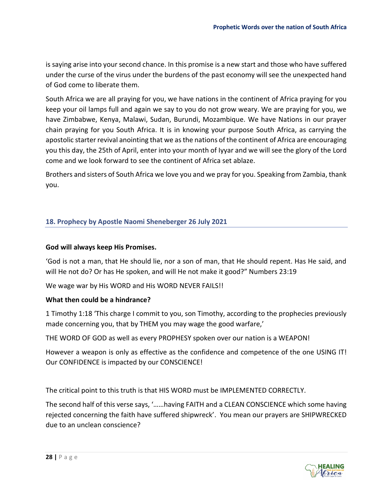is saying arise into your second chance. In this promise is a new start and those who have suffered under the curse of the virus under the burdens of the past economy will see the unexpected hand of God come to liberate them.

South Africa we are all praying for you, we have nations in the continent of Africa praying for you keep your oil lamps full and again we say to you do not grow weary. We are praying for you, we have Zimbabwe, Kenya, Malawi, Sudan, Burundi, Mozambique. We have Nations in our prayer chain praying for you South Africa. It is in knowing your purpose South Africa, as carrying the apostolic starter revival anointing that we as the nations of the continent of Africa are encouraging you this day, the 25th of April, enter into your month of Iyyar and we will see the glory of the Lord come and we look forward to see the continent of Africa set ablaze.

Brothers and sisters of South Africa we love you and we pray for you. Speaking from Zambia, thank you.

#### <span id="page-28-0"></span>**18. Prophecy by Apostle Naomi Sheneberger 26 July 2021**

#### **God will always keep His Promises.**

'God is not a man, that He should lie, nor a son of man, that He should repent. Has He said, and will He not do? Or has He spoken, and will He not make it good?" Numbers 23:19

We wage war by His WORD and His WORD NEVER FAILS!!

#### **What then could be a hindrance?**

1 Timothy 1:18 'This charge I commit to you, son Timothy, according to the prophecies previously made concerning you, that by THEM you may wage the good warfare,'

THE WORD OF GOD as well as every PROPHESY spoken over our nation is a WEAPON!

However a weapon is only as effective as the confidence and competence of the one USING IT! Our CONFIDENCE is impacted by our CONSCIENCE!

The critical point to this truth is that HIS WORD must be IMPLEMENTED CORRECTLY.

The second half of this verse says, '……having FAITH and a CLEAN CONSCIENCE which some having rejected concerning the faith have suffered shipwreck'. You mean our prayers are SHIPWRECKED due to an unclean conscience?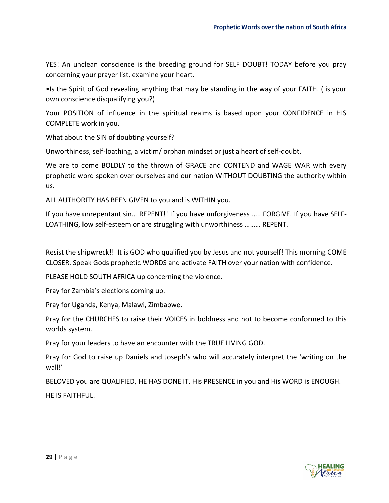YES! An unclean conscience is the breeding ground for SELF DOUBT! TODAY before you pray concerning your prayer list, examine your heart.

•Is the Spirit of God revealing anything that may be standing in the way of your FAITH. ( is your own conscience disqualifying you?)

Your POSITION of influence in the spiritual realms is based upon your CONFIDENCE in HIS COMPLETE work in you.

What about the SIN of doubting yourself?

Unworthiness, self-loathing, a victim/ orphan mindset or just a heart of self-doubt.

We are to come BOLDLY to the thrown of GRACE and CONTEND and WAGE WAR with every prophetic word spoken over ourselves and our nation WITHOUT DOUBTING the authority within us.

ALL AUTHORITY HAS BEEN GIVEN to you and is WITHIN you.

If you have unrepentant sin… REPENT!! If you have unforgiveness ….. FORGIVE. If you have SELF-LOATHING, low self-esteem or are struggling with unworthiness ……… REPENT.

Resist the shipwreck!! It is GOD who qualified you by Jesus and not yourself! This morning COME CLOSER. Speak Gods prophetic WORDS and activate FAITH over your nation with confidence.

PLEASE HOLD SOUTH AFRICA up concerning the violence.

Pray for Zambia's elections coming up.

Pray for Uganda, Kenya, Malawi, Zimbabwe.

Pray for the CHURCHES to raise their VOICES in boldness and not to become conformed to this worlds system.

Pray for your leaders to have an encounter with the TRUE LIVING GOD.

Pray for God to raise up Daniels and Joseph's who will accurately interpret the 'writing on the wall!'

BELOVED you are QUALIFIED, HE HAS DONE IT. His PRESENCE in you and His WORD is ENOUGH.

HE IS FAITHFUL.

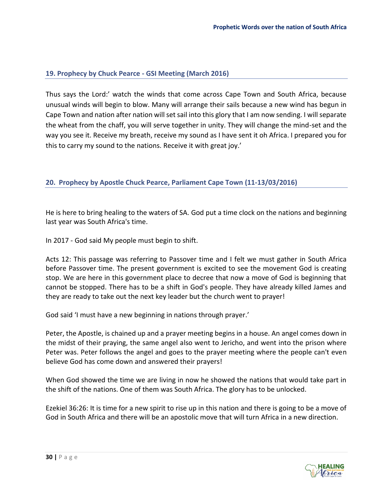#### <span id="page-30-0"></span>**19. Prophecy by Chuck Pearce - GSI Meeting (March 2016)**

Thus says the Lord:' watch the winds that come across Cape Town and South Africa, because unusual winds will begin to blow. Many will arrange their sails because a new wind has begun in Cape Town and nation after nation will set sail into this glory that I am now sending. I will separate the wheat from the chaff, you will serve together in unity. They will change the mind-set and the way you see it. Receive my breath, receive my sound as I have sent it oh Africa. I prepared you for this to carry my sound to the nations. Receive it with great joy.'

#### <span id="page-30-1"></span>**20. Prophecy by Apostle Chuck Pearce, Parliament Cape Town (11-13/03/2016)**

He is here to bring healing to the waters of SA. God put a time clock on the nations and beginning last year was South Africa's time.

In 2017 - God said My people must begin to shift.

Acts 12: This passage was referring to Passover time and I felt we must gather in South Africa before Passover time. The present government is excited to see the movement God is creating stop. We are here in this government place to decree that now a move of God is beginning that cannot be stopped. There has to be a shift in God's people. They have already killed James and they are ready to take out the next key leader but the church went to prayer!

God said 'I must have a new beginning in nations through prayer.'

Peter, the Apostle, is chained up and a prayer meeting begins in a house. An angel comes down in the midst of their praying, the same angel also went to Jericho, and went into the prison where Peter was. Peter follows the angel and goes to the prayer meeting where the people can't even believe God has come down and answered their prayers!

When God showed the time we are living in now he showed the nations that would take part in the shift of the nations. One of them was South Africa. The glory has to be unlocked.

Ezekiel 36:26: It is time for a new spirit to rise up in this nation and there is going to be a move of God in South Africa and there will be an apostolic move that will turn Africa in a new direction.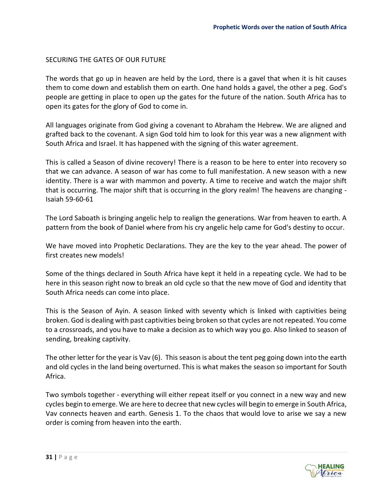#### SECURING THE GATES OF OUR FUTURE

The words that go up in heaven are held by the Lord, there is a gavel that when it is hit causes them to come down and establish them on earth. One hand holds a gavel, the other a peg. God's people are getting in place to open up the gates for the future of the nation. South Africa has to open its gates for the glory of God to come in.

All languages originate from God giving a covenant to Abraham the Hebrew. We are aligned and grafted back to the covenant. A sign God told him to look for this year was a new alignment with South Africa and Israel. It has happened with the signing of this water agreement.

This is called a Season of divine recovery! There is a reason to be here to enter into recovery so that we can advance. A season of war has come to full manifestation. A new season with a new identity. There is a war with mammon and poverty. A time to receive and watch the major shift that is occurring. The major shift that is occurring in the glory realm! The heavens are changing - Isaiah 59-60-61

The Lord Saboath is bringing angelic help to realign the generations. War from heaven to earth. A pattern from the book of Daniel where from his cry angelic help came for God's destiny to occur.

We have moved into Prophetic Declarations. They are the key to the year ahead. The power of first creates new models!

Some of the things declared in South Africa have kept it held in a repeating cycle. We had to be here in this season right now to break an old cycle so that the new move of God and identity that South Africa needs can come into place.

This is the Season of Ayin. A season linked with seventy which is linked with captivities being broken. God is dealing with past captivities being broken so that cycles are not repeated. You come to a crossroads, and you have to make a decision as to which way you go. Also linked to season of sending, breaking captivity.

The other letter for the year is Vav (6). This season is about the tent peg going down into the earth and old cycles in the land being overturned. This is what makes the season so important for South Africa.

Two symbols together - everything will either repeat itself or you connect in a new way and new cycles begin to emerge. We are here to decree that new cycles will begin to emerge in South Africa, Vav connects heaven and earth. Genesis 1. To the chaos that would love to arise we say a new order is coming from heaven into the earth.

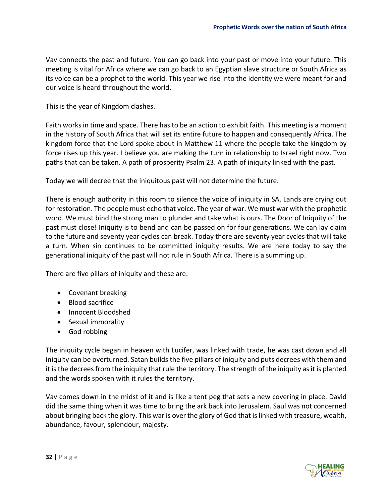Vav connects the past and future. You can go back into your past or move into your future. This meeting is vital for Africa where we can go back to an Egyptian slave structure or South Africa as its voice can be a prophet to the world. This year we rise into the identity we were meant for and our voice is heard throughout the world.

This is the year of Kingdom clashes.

Faith works in time and space. There has to be an action to exhibit faith. This meeting is a moment in the history of South Africa that will set its entire future to happen and consequently Africa. The kingdom force that the Lord spoke about in Matthew 11 where the people take the kingdom by force rises up this year. I believe you are making the turn in relationship to Israel right now. Two paths that can be taken. A path of prosperity Psalm 23. A path of iniquity linked with the past.

Today we will decree that the iniquitous past will not determine the future.

There is enough authority in this room to silence the voice of iniquity in SA. Lands are crying out for restoration. The people must echo that voice. The year of war. We must war with the prophetic word. We must bind the strong man to plunder and take what is ours. The Door of Iniquity of the past must close! Iniquity is to bend and can be passed on for four generations. We can lay claim to the future and seventy year cycles can break. Today there are seventy year cycles that will take a turn. When sin continues to be committed iniquity results. We are here today to say the generational iniquity of the past will not rule in South Africa. There is a summing up.

There are five pillars of iniquity and these are:

- Covenant breaking
- Blood sacrifice
- Innocent Bloodshed
- Sexual immorality
- God robbing

The iniquity cycle began in heaven with Lucifer, was linked with trade, he was cast down and all iniquity can be overturned. Satan builds the five pillars of iniquity and puts decrees with them and it is the decrees from the iniquity that rule the territory. The strength of the iniquity as it is planted and the words spoken with it rules the territory.

Vav comes down in the midst of it and is like a tent peg that sets a new covering in place. David did the same thing when it was time to bring the ark back into Jerusalem. Saul was not concerned about bringing back the glory. This war is over the glory of God that is linked with treasure, wealth, abundance, favour, splendour, majesty.

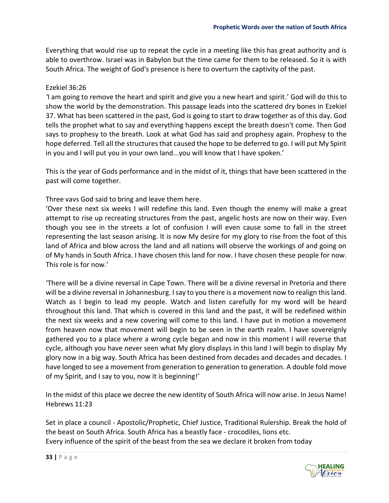Everything that would rise up to repeat the cycle in a meeting like this has great authority and is able to overthrow. Israel was in Babylon but the time came for them to be released. So it is with South Africa. The weight of God's presence is here to overturn the captivity of the past.

#### Ezekiel 36:26

*'*I am going to remove the heart and spirit and give you a new heart and spirit.' God will do this to show the world by the demonstration. This passage leads into the scattered dry bones in Ezekiel 37. What has been scattered in the past, God is going to start to draw together as of this day. God tells the prophet what to say and everything happens except the breath doesn't come. Then God says to prophesy to the breath. Look at what God has said and prophesy again. Prophesy to the hope deferred. Tell all the structures that caused the hope to be deferred to go. I will put My Spirit in you and I will put you in your own land...you will know that I have spoken.'

This is the year of Gods performance and in the midst of it, things that have been scattered in the past will come together.

Three vavs God said to bring and leave them here.

'Over these next six weeks I will redefine this land. Even though the enemy will make a great attempt to rise up recreating structures from the past, angelic hosts are now on their way. Even though you see in the streets a lot of confusion I will even cause some to fall in the street representing the last season arising. It is now My desire for my glory to rise from the foot of this land of Africa and blow across the land and all nations will observe the workings of and going on of My hands in South Africa. I have chosen this land for now. I have chosen these people for now. This role is for now.'

'There will be a divine reversal in Cape Town. There will be a divine reversal in Pretoria and there will be a divine reversal in Johannesburg. I say to you there is a movement now to realign this land. Watch as I begin to lead my people. Watch and listen carefully for my word will be heard throughout this land. That which is covered in this land and the past, it will be redefined within the next six weeks and a new covering will come to this land. I have put in motion a movement from heaven now that movement will begin to be seen in the earth realm. I have sovereignly gathered you to a place where a wrong cycle began and now in this moment I will reverse that cycle, although you have never seen what My glory displays in this land I will begin to display My glory now in a big way. South Africa has been destined from decades and decades and decades. I have longed to see a movement from generation to generation to generation. A double fold move of my Spirit, and I say to you, now it is beginning!'

In the midst of this place we decree the new identity of South Africa will now arise. In Jesus Name! Hebrews 11:23

Set in place a council - Apostolic/Prophetic, Chief Justice, Traditional Rulership. Break the hold of the beast on South Africa. South Africa has a beastly face - crocodiles, lions etc. Every influence of the spirit of the beast from the sea we declare it broken from today

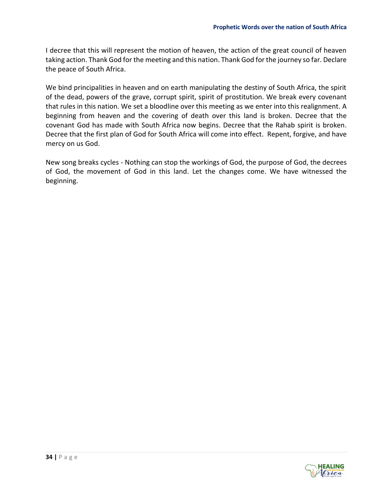I decree that this will represent the motion of heaven, the action of the great council of heaven taking action. Thank God for the meeting and this nation. Thank God for the journey so far. Declare the peace of South Africa.

We bind principalities in heaven and on earth manipulating the destiny of South Africa, the spirit of the dead, powers of the grave, corrupt spirit, spirit of prostitution. We break every covenant that rules in this nation. We set a bloodline over this meeting as we enter into this realignment. A beginning from heaven and the covering of death over this land is broken. Decree that the covenant God has made with South Africa now begins. Decree that the Rahab spirit is broken. Decree that the first plan of God for South Africa will come into effect. Repent, forgive, and have mercy on us God.

New song breaks cycles - Nothing can stop the workings of God, the purpose of God, the decrees of God, the movement of God in this land. Let the changes come. We have witnessed the beginning.

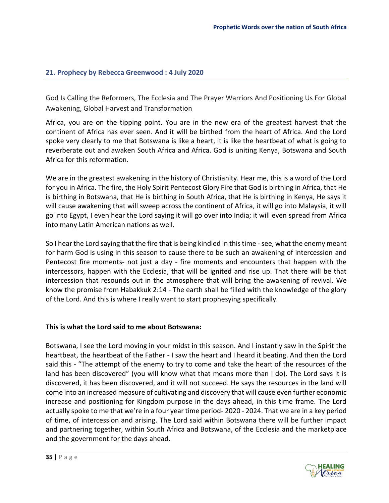#### <span id="page-35-0"></span>**21. Prophecy by Rebecca Greenwood : 4 July 2020**

God Is Calling the Reformers, The Ecclesia and The Prayer Warriors And Positioning Us For Global Awakening, Global Harvest and Transformation

Africa, you are on the tipping point. You are in the new era of the greatest harvest that the continent of Africa has ever seen. And it will be birthed from the heart of Africa. And the Lord spoke very clearly to me that Botswana is like a heart, it is like the heartbeat of what is going to reverberate out and awaken South Africa and Africa. God is uniting Kenya, Botswana and South Africa for this reformation.

We are in the greatest awakening in the history of Christianity. Hear me, this is a word of the Lord for you in Africa. The fire, the Holy Spirit Pentecost Glory Fire that God is birthing in Africa, that He is birthing in Botswana, that He is birthing in South Africa, that He is birthing in Kenya, He says it will cause awakening that will sweep across the continent of Africa, it will go into Malaysia, it will go into Egypt, I even hear the Lord saying it will go over into India; it will even spread from Africa into many Latin American nations as well.

So I hear the Lord saying that the fire that is being kindled in this time - see, what the enemy meant for harm God is using in this season to cause there to be such an awakening of intercession and Pentecost fire moments- not just a day - fire moments and encounters that happen with the intercessors, happen with the Ecclesia, that will be ignited and rise up. That there will be that intercession that resounds out in the atmosphere that will bring the awakening of revival. We know the promise from Habakkuk 2:14 - The earth shall be filled with the knowledge of the glory of the Lord. And this is where I really want to start prophesying specifically.

#### **This is what the Lord said to me about Botswana:**

Botswana, I see the Lord moving in your midst in this season. And I instantly saw in the Spirit the heartbeat, the heartbeat of the Father - I saw the heart and I heard it beating. And then the Lord said this - "The attempt of the enemy to try to come and take the heart of the resources of the land has been discovered" (you will know what that means more than I do). The Lord says it is discovered, it has been discovered, and it will not succeed. He says the resources in the land will come into an increased measure of cultivating and discovery that will cause even further economic increase and positioning for Kingdom purpose in the days ahead, in this time frame. The Lord actually spoke to me that we're in a four year time period- 2020 - 2024. That we are in a key period of time, of intercession and arising. The Lord said within Botswana there will be further impact and partnering together, within South Africa and Botswana, of the Ecclesia and the marketplace and the government for the days ahead.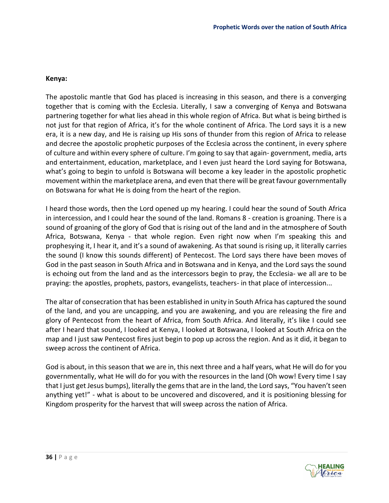#### **Kenya:**

The apostolic mantle that God has placed is increasing in this season, and there is a converging together that is coming with the Ecclesia. Literally, I saw a converging of Kenya and Botswana partnering together for what lies ahead in this whole region of Africa. But what is being birthed is not just for that region of Africa, it's for the whole continent of Africa. The Lord says it is a new era, it is a new day, and He is raising up His sons of thunder from this region of Africa to release and decree the apostolic prophetic purposes of the Ecclesia across the continent, in every sphere of culture and within every sphere of culture. I'm going to say that again- government, media, arts and entertainment, education, marketplace, and I even just heard the Lord saying for Botswana, what's going to begin to unfold is Botswana will become a key leader in the apostolic prophetic movement within the marketplace arena, and even that there will be great favour governmentally on Botswana for what He is doing from the heart of the region.

I heard those words, then the Lord opened up my hearing. I could hear the sound of South Africa in intercession, and I could hear the sound of the land. Romans 8 - creation is groaning. There is a sound of groaning of the glory of God that is rising out of the land and in the atmosphere of South Africa, Botswana, Kenya - that whole region. Even right now when I'm speaking this and prophesying it, I hear it, and it's a sound of awakening. As that sound is rising up, it literally carries the sound (I know this sounds different) of Pentecost. The Lord says there have been moves of God in the past season in South Africa and in Botswana and in Kenya, and the Lord says the sound is echoing out from the land and as the intercessors begin to pray, the Ecclesia- we all are to be praying: the apostles, prophets, pastors, evangelists, teachers- in that place of intercession...

The altar of consecration that has been established in unity in South Africa has captured the sound of the land, and you are uncapping, and you are awakening, and you are releasing the fire and glory of Pentecost from the heart of Africa, from South Africa. And literally, it's like I could see after I heard that sound, I looked at Kenya, I looked at Botswana, I looked at South Africa on the map and I just saw Pentecost fires just begin to pop up across the region. And as it did, it began to sweep across the continent of Africa.

God is about, in this season that we are in, this next three and a half years, what He will do for you governmentally, what He will do for you with the resources in the land (Oh wow! Every time I say that I just get Jesus bumps), literally the gems that are in the land, the Lord says, "You haven't seen anything yet!" - what is about to be uncovered and discovered, and it is positioning blessing for Kingdom prosperity for the harvest that will sweep across the nation of Africa.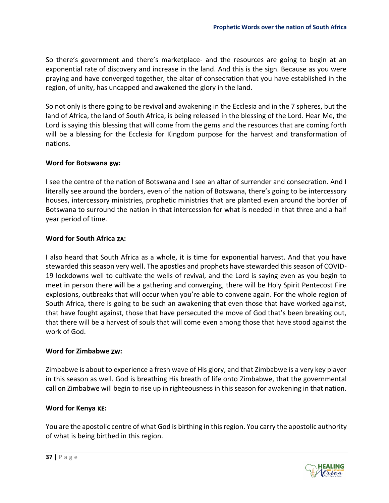So there's government and there's marketplace- and the resources are going to begin at an exponential rate of discovery and increase in the land. And this is the sign. Because as you were praying and have converged together, the altar of consecration that you have established in the region, of unity, has uncapped and awakened the glory in the land.

So not only is there going to be revival and awakening in the Ecclesia and in the 7 spheres, but the land of Africa, the land of South Africa, is being released in the blessing of the Lord. Hear Me, the Lord is saying this blessing that will come from the gems and the resources that are coming forth will be a blessing for the Ecclesia for Kingdom purpose for the harvest and transformation of nations.

#### **Word for Botswana :**

I see the centre of the nation of Botswana and I see an altar of surrender and consecration. And I literally see around the borders, even of the nation of Botswana, there's going to be intercessory houses, intercessory ministries, prophetic ministries that are planted even around the border of Botswana to surround the nation in that intercession for what is needed in that three and a half year period of time.

#### **Word for South Africa :**

I also heard that South Africa as a whole, it is time for exponential harvest. And that you have stewarded this season very well. The apostles and prophets have stewarded this season of COVID-19 lockdowns well to cultivate the wells of revival, and the Lord is saying even as you begin to meet in person there will be a gathering and converging, there will be Holy Spirit Pentecost Fire explosions, outbreaks that will occur when you're able to convene again. For the whole region of South Africa, there is going to be such an awakening that even those that have worked against, that have fought against, those that have persecuted the move of God that's been breaking out, that there will be a harvest of souls that will come even among those that have stood against the work of God.

#### **Word for Zimbabwe :**

Zimbabwe is about to experience a fresh wave of His glory, and that Zimbabwe is a very key player in this season as well. God is breathing His breath of life onto Zimbabwe, that the governmental call on Zimbabwe will begin to rise up in righteousness in this season for awakening in that nation.

#### **Word for Kenya :**

You are the apostolic centre of what God is birthing in this region. You carry the apostolic authority of what is being birthed in this region.

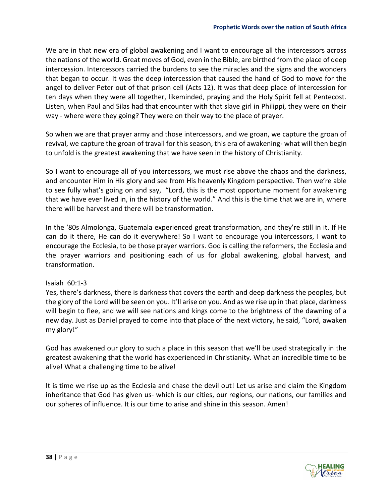We are in that new era of global awakening and I want to encourage all the intercessors across the nations of the world. Great moves of God, even in the Bible, are birthed from the place of deep intercession. Intercessors carried the burdens to see the miracles and the signs and the wonders that began to occur. It was the deep intercession that caused the hand of God to move for the angel to deliver Peter out of that prison cell (Acts 12). It was that deep place of intercession for ten days when they were all together, likeminded, praying and the Holy Spirit fell at Pentecost. Listen, when Paul and Silas had that encounter with that slave girl in Philippi, they were on their way - where were they going? They were on their way to the place of prayer.

So when we are that prayer army and those intercessors, and we groan, we capture the groan of revival, we capture the groan of travail for this season, this era of awakening- what will then begin to unfold is the greatest awakening that we have seen in the history of Christianity.

So I want to encourage all of you intercessors, we must rise above the chaos and the darkness, and encounter Him in His glory and see from His heavenly Kingdom perspective. Then we're able to see fully what's going on and say, "Lord, this is the most opportune moment for awakening that we have ever lived in, in the history of the world." And this is the time that we are in, where there will be harvest and there will be transformation.

In the '80s Almolonga, Guatemala experienced great transformation, and they're still in it. If He can do it there, He can do it everywhere! So I want to encourage you intercessors, I want to encourage the Ecclesia, to be those prayer warriors. God is calling the reformers, the Ecclesia and the prayer warriors and positioning each of us for global awakening, global harvest, and transformation.

#### Isaiah 60:1-3

Yes, there's darkness, there is darkness that covers the earth and deep darkness the peoples, but the glory of the Lord will be seen on you. It'll arise on you. And as we rise up in that place, darkness will begin to flee, and we will see nations and kings come to the brightness of the dawning of a new day. Just as Daniel prayed to come into that place of the next victory, he said, "Lord, awaken my glory!"

God has awakened our glory to such a place in this season that we'll be used strategically in the greatest awakening that the world has experienced in Christianity. What an incredible time to be alive! What a challenging time to be alive!

It is time we rise up as the Ecclesia and chase the devil out! Let us arise and claim the Kingdom inheritance that God has given us- which is our cities, our regions, our nations, our families and our spheres of influence. It is our time to arise and shine in this season. Amen!

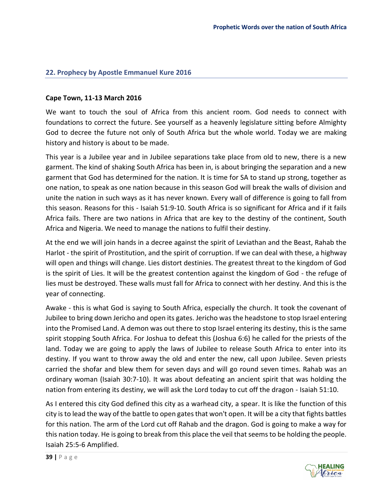#### <span id="page-39-0"></span>**22. Prophecy by Apostle Emmanuel Kure 2016**

#### **Cape Town, 11-13 March 2016**

We want to touch the soul of Africa from this ancient room. God needs to connect with foundations to correct the future. See yourself as a heavenly legislature sitting before Almighty God to decree the future not only of South Africa but the whole world. Today we are making history and history is about to be made.

This year is a Jubilee year and in Jubilee separations take place from old to new, there is a new garment. The kind of shaking South Africa has been in, is about bringing the separation and a new garment that God has determined for the nation. It is time for SA to stand up strong, together as one nation, to speak as one nation because in this season God will break the walls of division and unite the nation in such ways as it has never known. Every wall of difference is going to fall from this season. Reasons for this - Isaiah 51:9-10. South Africa is so significant for Africa and if it fails Africa fails. There are two nations in Africa that are key to the destiny of the continent, South Africa and Nigeria. We need to manage the nations to fulfil their destiny.

At the end we will join hands in a decree against the spirit of Leviathan and the Beast, Rahab the Harlot - the spirit of Prostitution, and the spirit of corruption. If we can deal with these, a highway will open and things will change. Lies distort destinies. The greatest threat to the kingdom of God is the spirit of Lies. It will be the greatest contention against the kingdom of God - the refuge of lies must be destroyed. These walls must fall for Africa to connect with her destiny. And this is the year of connecting.

Awake - this is what God is saying to South Africa, especially the church. It took the covenant of Jubilee to bring down Jericho and open its gates. Jericho was the headstone to stop Israel entering into the Promised Land. A demon was out there to stop Israel entering its destiny, this is the same spirit stopping South Africa. For Joshua to defeat this (Joshua 6:6) he called for the priests of the land. Today we are going to apply the laws of Jubilee to release South Africa to enter into its destiny. If you want to throw away the old and enter the new, call upon Jubilee. Seven priests carried the shofar and blew them for seven days and will go round seven times. Rahab was an ordinary woman (Isaiah 30:7-10). It was about defeating an ancient spirit that was holding the nation from entering its destiny, we will ask the Lord today to cut off the dragon - Isaiah 51:10.

As I entered this city God defined this city as a warhead city, a spear. It is like the function of this city is to lead the way of the battle to open gates that won't open. It will be a city that fights battles for this nation. The arm of the Lord cut off Rahab and the dragon. God is going to make a way for this nation today. He is going to break from this place the veil that seems to be holding the people. Isaiah 25:5-6 Amplified.

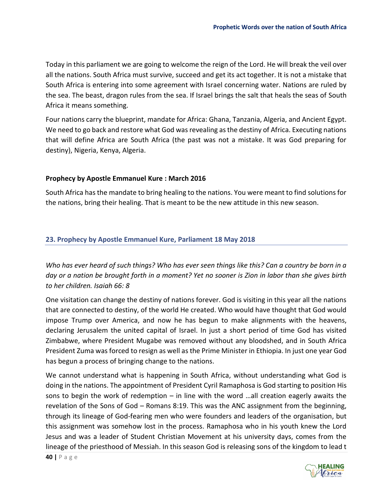Today in this parliament we are going to welcome the reign of the Lord. He will break the veil over all the nations. South Africa must survive, succeed and get its act together. It is not a mistake that South Africa is entering into some agreement with Israel concerning water. Nations are ruled by the sea. The beast, dragon rules from the sea. If Israel brings the salt that heals the seas of South Africa it means something.

Four nations carry the blueprint, mandate for Africa: Ghana, Tanzania, Algeria, and Ancient Egypt. We need to go back and restore what God was revealing as the destiny of Africa. Executing nations that will define Africa are South Africa (the past was not a mistake. It was God preparing for destiny), Nigeria, Kenya, Algeria.

#### **Prophecy by Apostle Emmanuel Kure : March 2016**

South Africa has the mandate to bring healing to the nations. You were meant to find solutions for the nations, bring their healing. That is meant to be the new attitude in this new season.

#### <span id="page-40-0"></span>**23. Prophecy by Apostle Emmanuel Kure, Parliament 18 May 2018**

*Who has ever heard of such things? Who has ever seen things like this? Can a country be born in a day or a nation be brought forth in a moment? Yet no sooner is Zion in labor than she gives birth to her children. Isaiah 66: 8*

One visitation can change the destiny of nations forever. God is visiting in this year all the nations that are connected to destiny, of the world He created. Who would have thought that God would impose Trump over America, and now he has begun to make alignments with the heavens, declaring Jerusalem the united capital of Israel. In just a short period of time God has visited Zimbabwe, where President Mugabe was removed without any bloodshed, and in South Africa President Zuma was forced to resign as well as the Prime Minister in Ethiopia. In just one year God has begun a process of bringing change to the nations.

We cannot understand what is happening in South Africa, without understanding what God is doing in the nations. The appointment of President Cyril Ramaphosa is God starting to position His sons to begin the work of redemption – in line with the word …all creation eagerly awaits the revelation of the Sons of God – Romans 8:19. This was the ANC assignment from the beginning, through its lineage of God-fearing men who were founders and leaders of the organisation, but this assignment was somehow lost in the process. Ramaphosa who in his youth knew the Lord Jesus and was a leader of Student Christian Movement at his university days, comes from the lineage of the priesthood of Messiah. In this season God is releasing sons of the kingdom to lead t

**40 |** P a g e

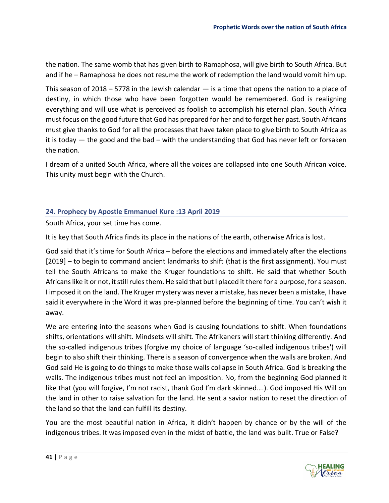the nation. The same womb that has given birth to Ramaphosa, will give birth to South Africa. But and if he – Ramaphosa he does not resume the work of redemption the land would vomit him up.

This season of 2018 – 5778 in the Jewish calendar  $-$  is a time that opens the nation to a place of destiny, in which those who have been forgotten would be remembered. God is realigning everything and will use what is perceived as foolish to accomplish his eternal plan. South Africa must focus on the good future that God has prepared for her and to forget her past. South Africans must give thanks to God for all the processes that have taken place to give birth to South Africa as it is today — the good and the bad – with the understanding that God has never left or forsaken the nation.

I dream of a united South Africa, where all the voices are collapsed into one South African voice. This unity must begin with the Church.

#### <span id="page-41-0"></span>**24. Prophecy by Apostle Emmanuel Kure :13 April 2019**

South Africa, your set time has come.

It is key that South Africa finds its place in the nations of the earth, otherwise Africa is lost.

God said that it's time for South Africa – before the elections and immediately after the elections [2019] – to begin to command ancient landmarks to shift (that is the first assignment). You must tell the South Africans to make the Kruger foundations to shift. He said that whether South Africans like it or not, it still rules them. He said that but I placed it there for a purpose, for a season. I imposed it on the land. The Kruger mystery was never a mistake, has never been a mistake, I have said it everywhere in the Word it was pre-planned before the beginning of time. You can't wish it away.

We are entering into the seasons when God is causing foundations to shift. When foundations shifts, orientations will shift. Mindsets will shift. The Afrikaners will start thinking differently. And the so-called indigenous tribes (forgive my choice of language 'so-called indigenous tribes') will begin to also shift their thinking. There is a season of convergence when the walls are broken. And God said He is going to do things to make those walls collapse in South Africa. God is breaking the walls. The indigenous tribes must not feel an imposition. No, from the beginning God planned it like that (you will forgive, I'm not racist, thank God I'm dark skinned….). God imposed His Will on the land in other to raise salvation for the land. He sent a savior nation to reset the direction of the land so that the land can fulfill its destiny.

You are the most beautiful nation in Africa, it didn't happen by chance or by the will of the indigenous tribes. It was imposed even in the midst of battle, the land was built. True or False?

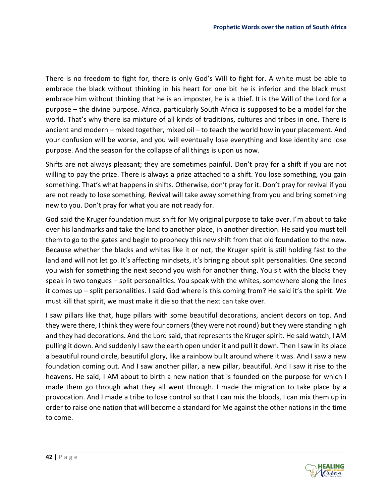There is no freedom to fight for, there is only God's Will to fight for. A white must be able to embrace the black without thinking in his heart for one bit he is inferior and the black must embrace him without thinking that he is an imposter, he is a thief. It is the Will of the Lord for a purpose – the divine purpose. Africa, particularly South Africa is supposed to be a model for the world. That's why there isa mixture of all kinds of traditions, cultures and tribes in one. There is ancient and modern – mixed together, mixed oil – to teach the world how in your placement. And your confusion will be worse, and you will eventually lose everything and lose identity and lose purpose. And the season for the collapse of all things is upon us now.

Shifts are not always pleasant; they are sometimes painful. Don't pray for a shift if you are not willing to pay the prize. There is always a prize attached to a shift. You lose something, you gain something. That's what happens in shifts. Otherwise, don't pray for it. Don't pray for revival if you are not ready to lose something. Revival will take away something from you and bring something new to you. Don't pray for what you are not ready for.

God said the Kruger foundation must shift for My original purpose to take over. I'm about to take over his landmarks and take the land to another place, in another direction. He said you must tell them to go to the gates and begin to prophecy this new shift from that old foundation to the new. Because whether the blacks and whites like it or not, the Kruger spirit is still holding fast to the land and will not let go. It's affecting mindsets, it's bringing about split personalities. One second you wish for something the next second you wish for another thing. You sit with the blacks they speak in two tongues – split personalities. You speak with the whites, somewhere along the lines it comes up – split personalities. I said God where is this coming from? He said it's the spirit. We must kill that spirit, we must make it die so that the next can take over.

I saw pillars like that, huge pillars with some beautiful decorations, ancient decors on top. And they were there, I think they were four corners (they were not round) but they were standing high and they had decorations. And the Lord said, that represents the Kruger spirit. He said watch, I AM pulling it down. And suddenly I saw the earth open under it and pull it down. Then I saw in its place a beautiful round circle, beautiful glory, like a rainbow built around where it was. And I saw a new foundation coming out. And I saw another pillar, a new pillar, beautiful. And I saw it rise to the heavens. He said, I AM about to birth a new nation that is founded on the purpose for which I made them go through what they all went through. I made the migration to take place by a provocation. And I made a tribe to lose control so that I can mix the bloods, I can mix them up in order to raise one nation that will become a standard for Me against the other nations in the time to come.